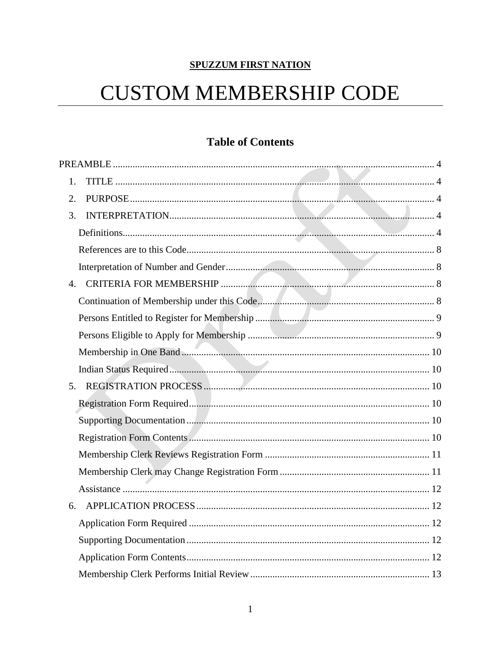# **SPUZZUM FIRST NATION**

# **CUSTOM MEMBERSHIP CODE**

# **Table of Contents**

| 1.             |
|----------------|
| 2.             |
| 3.             |
|                |
|                |
|                |
| 4 <sup>1</sup> |
|                |
|                |
|                |
|                |
|                |
| 5 <sub>1</sub> |
|                |
|                |
|                |
|                |
|                |
|                |
| 6.             |
|                |
|                |
|                |
|                |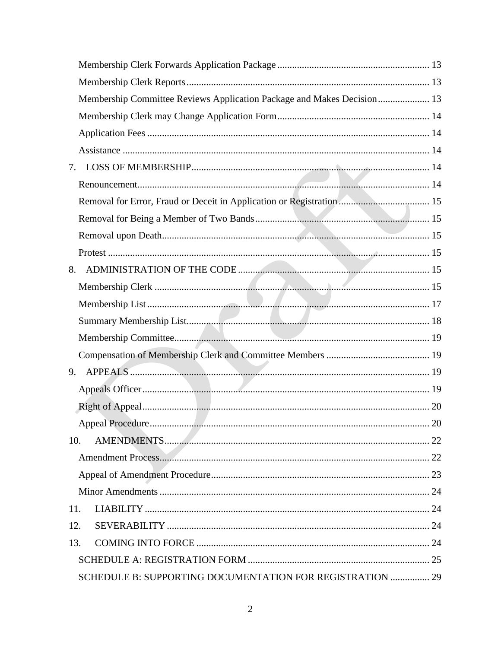| Membership Committee Reviews Application Package and Makes Decision 13 |  |
|------------------------------------------------------------------------|--|
|                                                                        |  |
|                                                                        |  |
|                                                                        |  |
| 7.                                                                     |  |
|                                                                        |  |
| Removal for Error, Fraud or Deceit in Application or Registration 15   |  |
|                                                                        |  |
|                                                                        |  |
|                                                                        |  |
| 8.                                                                     |  |
|                                                                        |  |
|                                                                        |  |
|                                                                        |  |
|                                                                        |  |
|                                                                        |  |
| 9.                                                                     |  |
|                                                                        |  |
|                                                                        |  |
|                                                                        |  |
| 10.                                                                    |  |
|                                                                        |  |
|                                                                        |  |
|                                                                        |  |
| 11.                                                                    |  |
| 12.                                                                    |  |
| 13.                                                                    |  |
|                                                                        |  |
| SCHEDULE B: SUPPORTING DOCUMENTATION FOR REGISTRATION  29              |  |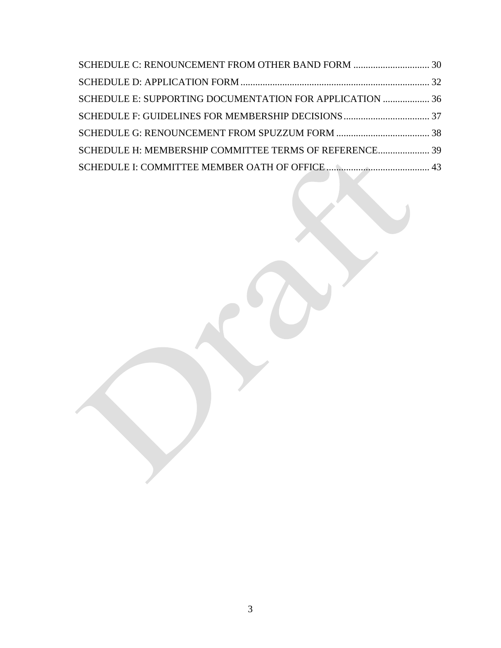| SCHEDULE E: SUPPORTING DOCUMENTATION FOR APPLICATION  36 |  |
|----------------------------------------------------------|--|
|                                                          |  |
|                                                          |  |
| SCHEDULE H: MEMBERSHIP COMMITTEE TERMS OF REFERENCE 39   |  |
|                                                          |  |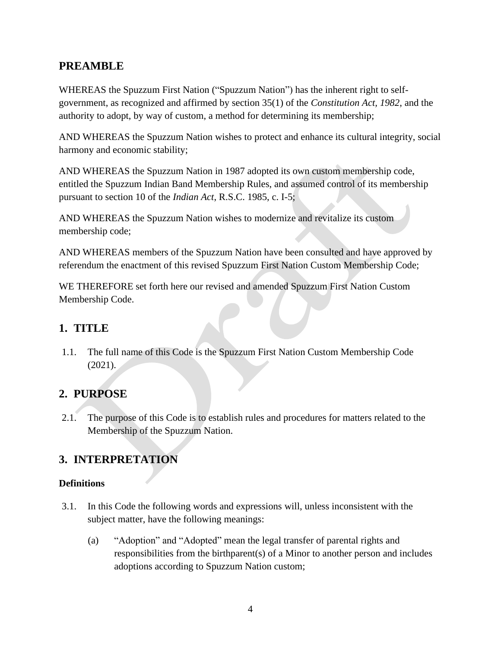# <span id="page-3-0"></span>**PREAMBLE**

WHEREAS the Spuzzum First Nation ("Spuzzum Nation") has the inherent right to selfgovernment, as recognized and affirmed by section 35(1) of the *Constitution Act, 1982*, and the authority to adopt, by way of custom, a method for determining its membership;

AND WHEREAS the Spuzzum Nation wishes to protect and enhance its cultural integrity, social harmony and economic stability;

AND WHEREAS the Spuzzum Nation in 1987 adopted its own custom membership code, entitled the Spuzzum Indian Band Membership Rules, and assumed control of its membership pursuant to section 10 of the *Indian Act*, R.S.C. 1985, c. I-5;

AND WHEREAS the Spuzzum Nation wishes to modernize and revitalize its custom membership code;

AND WHEREAS members of the Spuzzum Nation have been consulted and have approved by referendum the enactment of this revised Spuzzum First Nation Custom Membership Code;

WE THEREFORE set forth here our revised and amended Spuzzum First Nation Custom Membership Code.

# <span id="page-3-1"></span>**1. TITLE**

1.1. The full name of this Code is the Spuzzum First Nation Custom Membership Code (2021).

# <span id="page-3-2"></span>**2. PURPOSE**

2.1. The purpose of this Code is to establish rules and procedures for matters related to the Membership of the Spuzzum Nation.

# <span id="page-3-3"></span>**3. INTERPRETATION**

# <span id="page-3-4"></span>**Definitions**

- 3.1. In this Code the following words and expressions will, unless inconsistent with the subject matter, have the following meanings:
	- (a) "Adoption" and "Adopted" mean the legal transfer of parental rights and responsibilities from the birthparent(s) of a Minor to another person and includes adoptions according to Spuzzum Nation custom;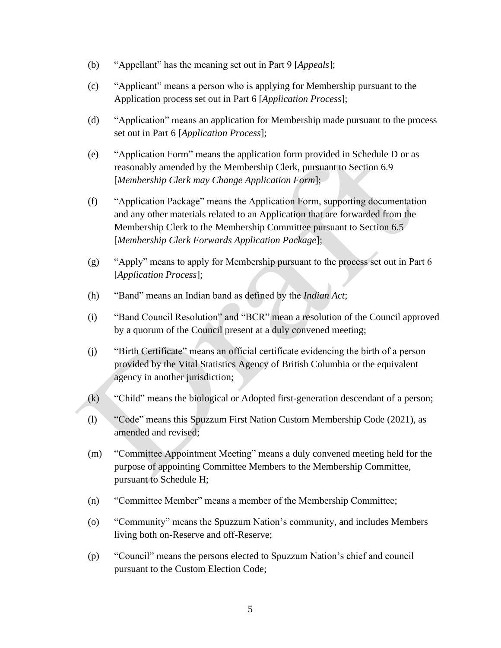- (b) "Appellant" has the meaning set out in Part 9 [*Appeals*];
- (c) "Applicant" means a person who is applying for Membership pursuant to the Application process set out in Part 6 [*Application Process*];
- (d) "Application" means an application for Membership made pursuant to the process set out in Part 6 [*Application Process*];
- (e) "Application Form" means the application form provided in Schedule D or as reasonably amended by the Membership Clerk, pursuant to Section 6.9 [*Membership Clerk may Change Application Form*];
- (f) "Application Package" means the Application Form, supporting documentation and any other materials related to an Application that are forwarded from the Membership Clerk to the Membership Committee pursuant to Section [6.5](#page-12-4) [*Membership Clerk Forwards Application Package*];
- (g) "Apply" means to apply for Membership pursuant to the process set out in Part 6 [*Application Process*];
- (h) "Band" means an Indian band as defined by the *Indian Act*;
- (i) "Band Council Resolution" and "BCR" mean a resolution of the Council approved by a quorum of the Council present at a duly convened meeting;
- (j) "Birth Certificate" means an official certificate evidencing the birth of a person provided by the Vital Statistics Agency of British Columbia or the equivalent agency in another jurisdiction;
- (k) "Child" means the biological or Adopted first-generation descendant of a person;
- (l) "Code" means this Spuzzum First Nation Custom Membership Code (2021)*,* as amended and revised;
- (m) "Committee Appointment Meeting" means a duly convened meeting held for the purpose of appointing Committee Members to the Membership Committee, pursuant to Schedule H;
- (n) "Committee Member" means a member of the Membership Committee;
- (o) "Community" means the Spuzzum Nation's community, and includes Members living both on-Reserve and off-Reserve;
- (p) "Council" means the persons elected to Spuzzum Nation's chief and council pursuant to the Custom Election Code;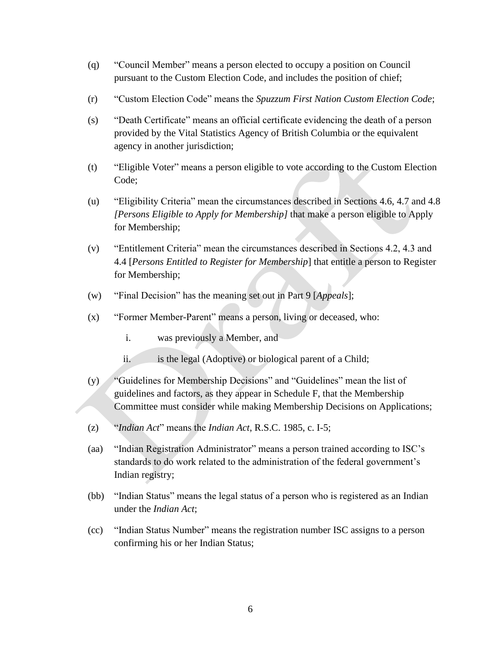- (q) "Council Member" means a person elected to occupy a position on Council pursuant to the Custom Election Code, and includes the position of chief;
- (r) "Custom Election Code" means the *Spuzzum First Nation Custom Election Code*;
- (s) "Death Certificate" means an official certificate evidencing the death of a person provided by the Vital Statistics Agency of British Columbia or the equivalent agency in another jurisdiction;
- (t) "Eligible Voter" means a person eligible to vote according to the Custom Election Code;
- (u) "Eligibility Criteria" mean the circumstances described in Sections 4.6, 4.7 and 4.8 *[Persons Eligible to Apply for Membership]* that make a person eligible to Apply for Membership;
- (v) "Entitlement Criteria" mean the circumstances described in Sections 4.2, 4.3 and 4.4 [*Persons Entitled to Register for Membership*] that entitle a person to Register for Membership;
- (w) "Final Decision" has the meaning set out in Part 9 [*Appeals*];
- (x) "Former Member-Parent" means a person, living or deceased, who:
	- i. was previously a Member, and
	- ii. is the legal (Adoptive) or biological parent of a Child;
- (y) "Guidelines for Membership Decisions" and "Guidelines" mean the list of guidelines and factors, as they appear in Schedule F, that the Membership Committee must consider while making Membership Decisions on Applications;
- (z) "*Indian Act*" means the *Indian Act*, R.S.C. 1985, c. I-5;
- (aa) "Indian Registration Administrator" means a person trained according to ISC's standards to do work related to the administration of the federal government's Indian registry;
- (bb) "Indian Status" means the legal status of a person who is registered as an Indian under the *Indian Act*;
- (cc) "Indian Status Number" means the registration number ISC assigns to a person confirming his or her Indian Status;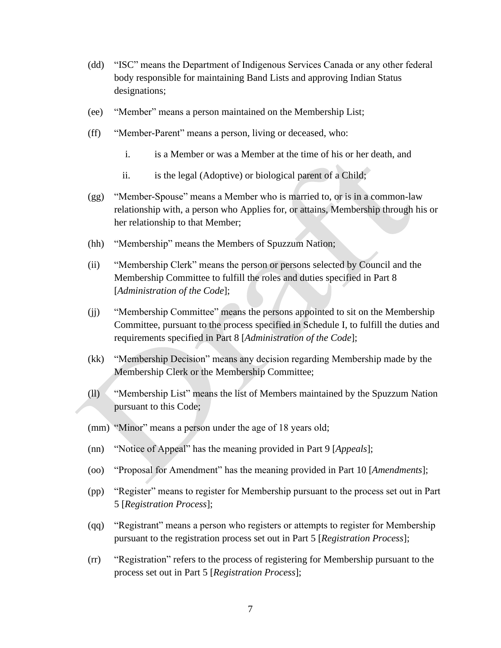- (dd) "ISC" means the Department of Indigenous Services Canada or any other federal body responsible for maintaining Band Lists and approving Indian Status designations;
- (ee) "Member" means a person maintained on the Membership List;
- (ff) "Member-Parent" means a person, living or deceased, who:
	- i. is a Member or was a Member at the time of his or her death, and
	- ii. is the legal (Adoptive) or biological parent of a Child;
- (gg) "Member-Spouse" means a Member who is married to, or is in a common-law relationship with, a person who Applies for, or attains, Membership through his or her relationship to that Member;
- (hh) "Membership" means the Members of Spuzzum Nation;
- (ii) "Membership Clerk" means the person or persons selected by Council and the Membership Committee to fulfill the roles and duties specified in Part 8 [*Administration of the Code*];
- (jj) "Membership Committee" means the persons appointed to sit on the Membership Committee, pursuant to the process specified in Schedule I, to fulfill the duties and requirements specified in Part 8 [*Administration of the Code*];
- (kk) "Membership Decision" means any decision regarding Membership made by the Membership Clerk or the Membership Committee;
- (ll) "Membership List" means the list of Members maintained by the Spuzzum Nation pursuant to this Code;
- (mm) "Minor" means a person under the age of 18 years old;
- (nn) "Notice of Appeal" has the meaning provided in Part 9 [*Appeals*];
- (oo) "Proposal for Amendment" has the meaning provided in Part 10 [*Amendments*];
- (pp) "Register" means to register for Membership pursuant to the process set out in Part 5 [*Registration Process*];
- (qq) "Registrant" means a person who registers or attempts to register for Membership pursuant to the registration process set out in Part 5 [*Registration Process*];
- (rr) "Registration" refers to the process of registering for Membership pursuant to the process set out in Part 5 [*Registration Process*];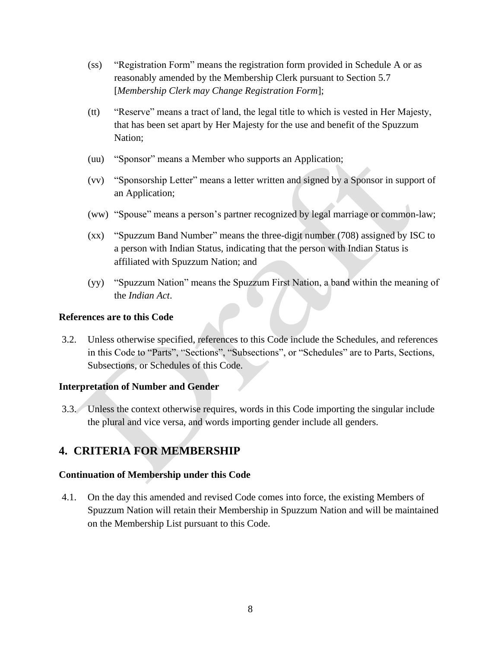- (ss) "Registration Form" means the registration form provided in Schedule A or as reasonably amended by the Membership Clerk pursuant to Section 5.7 [*Membership Clerk may Change Registration Form*];
- (tt) "Reserve" means a tract of land, the legal title to which is vested in Her Majesty, that has been set apart by Her Majesty for the use and benefit of the Spuzzum Nation;
- (uu) "Sponsor" means a Member who supports an Application;
- (vv) "Sponsorship Letter" means a letter written and signed by a Sponsor in support of an Application;
- (ww) "Spouse" means a person's partner recognized by legal marriage or common-law;
- (xx) "Spuzzum Band Number" means the three-digit number (708) assigned by ISC to a person with Indian Status, indicating that the person with Indian Status is affiliated with Spuzzum Nation; and
- (yy) "Spuzzum Nation" means the Spuzzum First Nation, a band within the meaning of the *Indian Act*.

#### <span id="page-7-0"></span>**References are to this Code**

3.2. Unless otherwise specified, references to this Code include the Schedules, and references in this Code to "Parts", "Sections", "Subsections", or "Schedules" are to Parts, Sections, Subsections, or Schedules of this Code.

# <span id="page-7-1"></span>**Interpretation of Number and Gender**

3.3. Unless the context otherwise requires, words in this Code importing the singular include the plural and vice versa, and words importing gender include all genders.

# <span id="page-7-2"></span>**4. CRITERIA FOR MEMBERSHIP**

#### <span id="page-7-3"></span>**Continuation of Membership under this Code**

4.1. On the day this amended and revised Code comes into force, the existing Members of Spuzzum Nation will retain their Membership in Spuzzum Nation and will be maintained on the Membership List pursuant to this Code.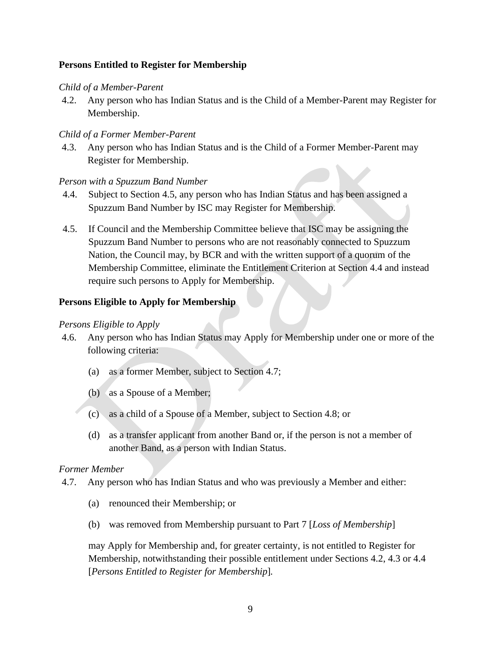### <span id="page-8-0"></span>**Persons Entitled to Register for Membership**

#### *Child of a Member-Parent*

4.2. Any person who has Indian Status and is the Child of a Member-Parent may Register for Membership.

#### *Child of a Former Member-Parent*

4.3. Any person who has Indian Status and is the Child of a Former Member-Parent may Register for Membership.

#### *Person with a Spuzzum Band Number*

- 4.4. Subject to Section 4.5, any person who has Indian Status and has been assigned a Spuzzum Band Number by ISC may Register for Membership.
- 4.5. If Council and the Membership Committee believe that ISC may be assigning the Spuzzum Band Number to persons who are not reasonably connected to Spuzzum Nation, the Council may, by BCR and with the written support of a quorum of the Membership Committee, eliminate the Entitlement Criterion at Section 4.4 and instead require such persons to Apply for Membership.

#### <span id="page-8-1"></span>**Persons Eligible to Apply for Membership**

#### *Persons Eligible to Apply*

- 4.6. Any person who has Indian Status may Apply for Membership under one or more of the following criteria:
	- (a) as a former Member, subject to Section 4.7;
	- (b) as a Spouse of a Member;
	- (c) as a child of a Spouse of a Member, subject to Section 4.8; or
	- (d) as a transfer applicant from another Band or, if the person is not a member of another Band, as a person with Indian Status.

#### *Former Member*

- 4.7. Any person who has Indian Status and who was previously a Member and either:
	- (a) renounced their Membership; or
	- (b) was removed from Membership pursuant to Part 7 [*Loss of Membership*]

may Apply for Membership and, for greater certainty, is not entitled to Register for Membership, notwithstanding their possible entitlement under Sections 4.2, 4.3 or 4.4 [*Persons Entitled to Register for Membership*]*.*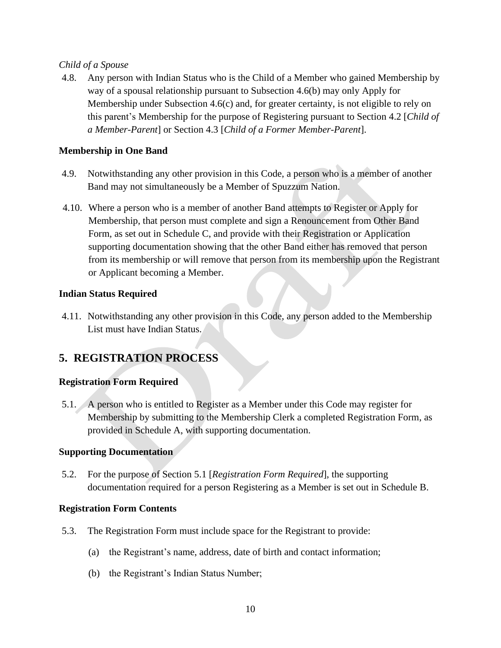# *Child of a Spouse*

4.8. Any person with Indian Status who is the Child of a Member who gained Membership by way of a spousal relationship pursuant to Subsection 4.6(b) may only Apply for Membership under Subsection 4.6(c) and, for greater certainty, is not eligible to rely on this parent's Membership for the purpose of Registering pursuant to Section 4.2 [*Child of a Member-Parent*] or Section 4.3 [*Child of a Former Member-Parent*].

### <span id="page-9-0"></span>**Membership in One Band**

- 4.9. Notwithstanding any other provision in this Code, a person who is a member of another Band may not simultaneously be a Member of Spuzzum Nation.
- 4.10. Where a person who is a member of another Band attempts to Register or Apply for Membership, that person must complete and sign a Renouncement from Other Band Form, as set out in Schedule C, and provide with their Registration or Application supporting documentation showing that the other Band either has removed that person from its membership or will remove that person from its membership upon the Registrant or Applicant becoming a Member.

#### <span id="page-9-1"></span>**Indian Status Required**

4.11. Notwithstanding any other provision in this Code, any person added to the Membership List must have Indian Status.

# <span id="page-9-2"></span>**5. REGISTRATION PROCESS**

# <span id="page-9-3"></span>**Registration Form Required**

5.1. A person who is entitled to Register as a Member under this Code may register for Membership by submitting to the Membership Clerk a completed Registration Form, as provided in Schedule A, with supporting documentation.

#### <span id="page-9-4"></span>**Supporting Documentation**

5.2. For the purpose of Section 5.1 [*Registration Form Required*], the supporting documentation required for a person Registering as a Member is set out in Schedule B.

#### <span id="page-9-5"></span>**Registration Form Contents**

- 5.3. The Registration Form must include space for the Registrant to provide:
	- (a) the Registrant's name, address, date of birth and contact information;
	- (b) the Registrant's Indian Status Number;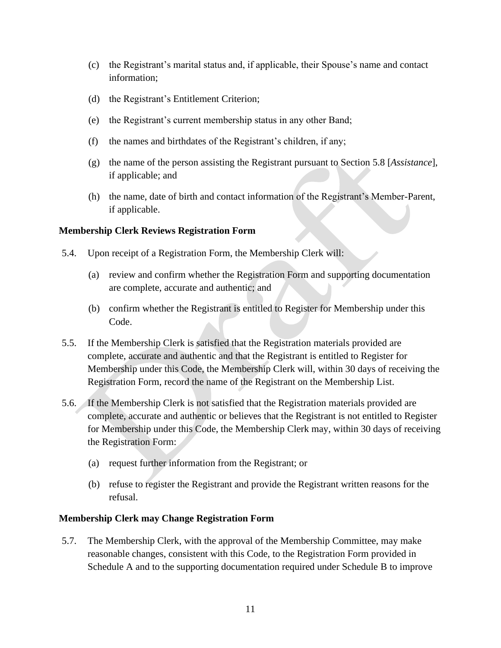- (c) the Registrant's marital status and, if applicable, their Spouse's name and contact information;
- (d) the Registrant's Entitlement Criterion;
- (e) the Registrant's current membership status in any other Band;
- (f) the names and birthdates of the Registrant's children, if any;
- (g) the name of the person assisting the Registrant pursuant to Section 5.8 [*Assistance*], if applicable; and
- (h) the name, date of birth and contact information of the Registrant's Member-Parent, if applicable.

#### <span id="page-10-0"></span>**Membership Clerk Reviews Registration Form**

- 5.4. Upon receipt of a Registration Form, the Membership Clerk will:
	- (a) review and confirm whether the Registration Form and supporting documentation are complete, accurate and authentic; and
	- (b) confirm whether the Registrant is entitled to Register for Membership under this Code.
- 5.5. If the Membership Clerk is satisfied that the Registration materials provided are complete, accurate and authentic and that the Registrant is entitled to Register for Membership under this Code, the Membership Clerk will, within 30 days of receiving the Registration Form, record the name of the Registrant on the Membership List.
- 5.6. If the Membership Clerk is not satisfied that the Registration materials provided are complete, accurate and authentic or believes that the Registrant is not entitled to Register for Membership under this Code, the Membership Clerk may, within 30 days of receiving the Registration Form:
	- (a) request further information from the Registrant; or
	- (b) refuse to register the Registrant and provide the Registrant written reasons for the refusal.

# <span id="page-10-1"></span>**Membership Clerk may Change Registration Form**

5.7. The Membership Clerk, with the approval of the Membership Committee, may make reasonable changes, consistent with this Code, to the Registration Form provided in Schedule A and to the supporting documentation required under Schedule B to improve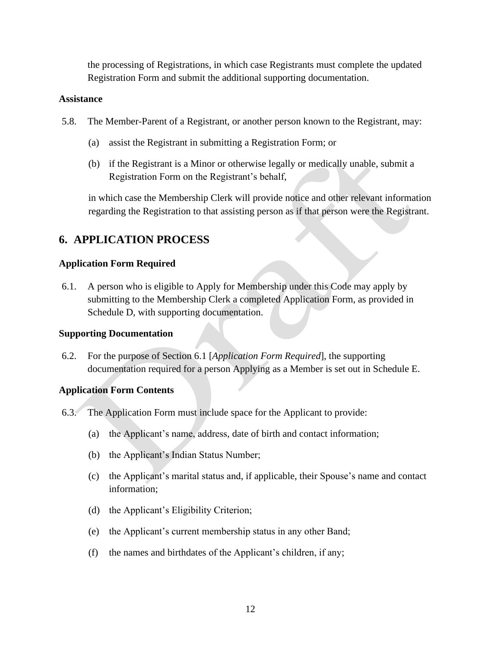the processing of Registrations, in which case Registrants must complete the updated Registration Form and submit the additional supporting documentation.

#### <span id="page-11-0"></span>**Assistance**

- 5.8. The Member-Parent of a Registrant, or another person known to the Registrant, may:
	- (a) assist the Registrant in submitting a Registration Form; or
	- (b) if the Registrant is a Minor or otherwise legally or medically unable, submit a Registration Form on the Registrant's behalf,

in which case the Membership Clerk will provide notice and other relevant information regarding the Registration to that assisting person as if that person were the Registrant.

# <span id="page-11-1"></span>**6. APPLICATION PROCESS**

# <span id="page-11-2"></span>**Application Form Required**

6.1. A person who is eligible to Apply for Membership under this Code may apply by submitting to the Membership Clerk a completed Application Form, as provided in Schedule D, with supporting documentation.

# <span id="page-11-3"></span>**Supporting Documentation**

6.2. For the purpose of Section 6.1 [*Application Form Required*], the supporting documentation required for a person Applying as a Member is set out in Schedule E.

# <span id="page-11-4"></span>**Application Form Contents**

- 6.3. The Application Form must include space for the Applicant to provide:
	- (a) the Applicant's name, address, date of birth and contact information;
	- (b) the Applicant's Indian Status Number;
	- (c) the Applicant's marital status and, if applicable, their Spouse's name and contact information;
	- (d) the Applicant's Eligibility Criterion;
	- (e) the Applicant's current membership status in any other Band;
	- (f) the names and birthdates of the Applicant's children, if any;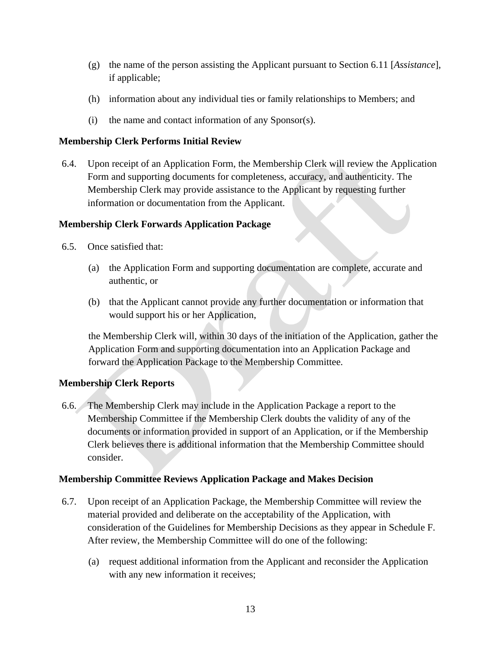- (g) the name of the person assisting the Applicant pursuant to Section 6.11 [*Assistance*], if applicable;
- (h) information about any individual ties or family relationships to Members; and
- (i) the name and contact information of any Sponsor(s).

# <span id="page-12-0"></span>**Membership Clerk Performs Initial Review**

6.4. Upon receipt of an Application Form, the Membership Clerk will review the Application Form and supporting documents for completeness, accuracy, and authenticity. The Membership Clerk may provide assistance to the Applicant by requesting further information or documentation from the Applicant.

# <span id="page-12-1"></span>**Membership Clerk Forwards Application Package**

- <span id="page-12-4"></span>6.5. Once satisfied that:
	- (a) the Application Form and supporting documentation are complete, accurate and authentic, or
	- (b) that the Applicant cannot provide any further documentation or information that would support his or her Application,

the Membership Clerk will, within 30 days of the initiation of the Application, gather the Application Form and supporting documentation into an Application Package and forward the Application Package to the Membership Committee.

# <span id="page-12-2"></span>**Membership Clerk Reports**

6.6. The Membership Clerk may include in the Application Package a report to the Membership Committee if the Membership Clerk doubts the validity of any of the documents or information provided in support of an Application, or if the Membership Clerk believes there is additional information that the Membership Committee should consider.

# <span id="page-12-3"></span>**Membership Committee Reviews Application Package and Makes Decision**

- 6.7. Upon receipt of an Application Package, the Membership Committee will review the material provided and deliberate on the acceptability of the Application, with consideration of the Guidelines for Membership Decisions as they appear in Schedule F. After review, the Membership Committee will do one of the following:
	- (a) request additional information from the Applicant and reconsider the Application with any new information it receives;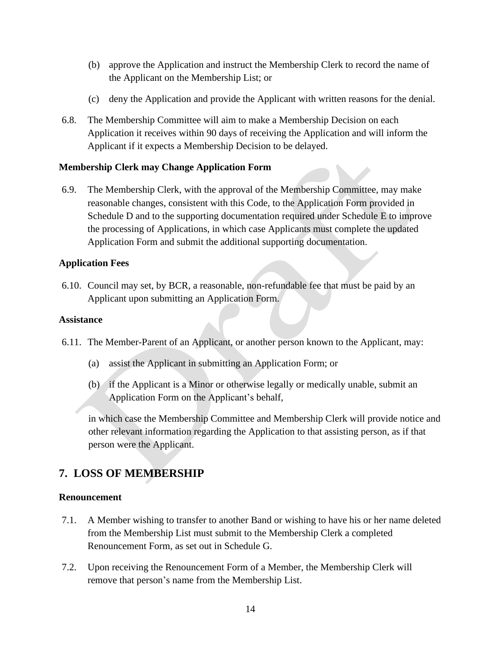- (b) approve the Application and instruct the Membership Clerk to record the name of the Applicant on the Membership List; or
- (c) deny the Application and provide the Applicant with written reasons for the denial.
- 6.8. The Membership Committee will aim to make a Membership Decision on each Application it receives within 90 days of receiving the Application and will inform the Applicant if it expects a Membership Decision to be delayed.

# <span id="page-13-0"></span>**Membership Clerk may Change Application Form**

6.9. The Membership Clerk, with the approval of the Membership Committee, may make reasonable changes, consistent with this Code, to the Application Form provided in Schedule D and to the supporting documentation required under Schedule E to improve the processing of Applications, in which case Applicants must complete the updated Application Form and submit the additional supporting documentation.

# <span id="page-13-1"></span>**Application Fees**

6.10. Council may set, by BCR, a reasonable, non-refundable fee that must be paid by an Applicant upon submitting an Application Form.

# <span id="page-13-2"></span>**Assistance**

- 6.11. The Member-Parent of an Applicant, or another person known to the Applicant, may:
	- (a) assist the Applicant in submitting an Application Form; or
	- (b) if the Applicant is a Minor or otherwise legally or medically unable, submit an Application Form on the Applicant's behalf,

in which case the Membership Committee and Membership Clerk will provide notice and other relevant information regarding the Application to that assisting person, as if that person were the Applicant.

# <span id="page-13-3"></span>**7. LOSS OF MEMBERSHIP**

# <span id="page-13-4"></span>**Renouncement**

- 7.1. A Member wishing to transfer to another Band or wishing to have his or her name deleted from the Membership List must submit to the Membership Clerk a completed Renouncement Form, as set out in Schedule G.
- 7.2. Upon receiving the Renouncement Form of a Member, the Membership Clerk will remove that person's name from the Membership List.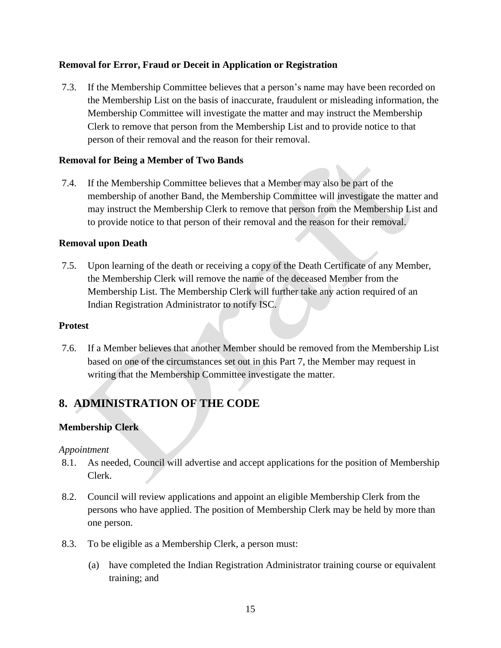# <span id="page-14-0"></span>**Removal for Error, Fraud or Deceit in Application or Registration**

7.3. If the Membership Committee believes that a person's name may have been recorded on the Membership List on the basis of inaccurate, fraudulent or misleading information, the Membership Committee will investigate the matter and may instruct the Membership Clerk to remove that person from the Membership List and to provide notice to that person of their removal and the reason for their removal.

# <span id="page-14-1"></span>**Removal for Being a Member of Two Bands**

7.4. If the Membership Committee believes that a Member may also be part of the membership of another Band, the Membership Committee will investigate the matter and may instruct the Membership Clerk to remove that person from the Membership List and to provide notice to that person of their removal and the reason for their removal.

# <span id="page-14-2"></span>**Removal upon Death**

7.5. Upon learning of the death or receiving a copy of the Death Certificate of any Member, the Membership Clerk will remove the name of the deceased Member from the Membership List. The Membership Clerk will further take any action required of an Indian Registration Administrator to notify ISC.

# <span id="page-14-3"></span>**Protest**

7.6. If a Member believes that another Member should be removed from the Membership List based on one of the circumstances set out in this Part 7, the Member may request in writing that the Membership Committee investigate the matter.

# <span id="page-14-4"></span>**8. ADMINISTRATION OF THE CODE**

# <span id="page-14-5"></span>**Membership Clerk**

# *Appointment*

- 8.1. As needed, Council will advertise and accept applications for the position of Membership Clerk.
- 8.2. Council will review applications and appoint an eligible Membership Clerk from the persons who have applied. The position of Membership Clerk may be held by more than one person.
- 8.3. To be eligible as a Membership Clerk, a person must:
	- (a) have completed the Indian Registration Administrator training course or equivalent training; and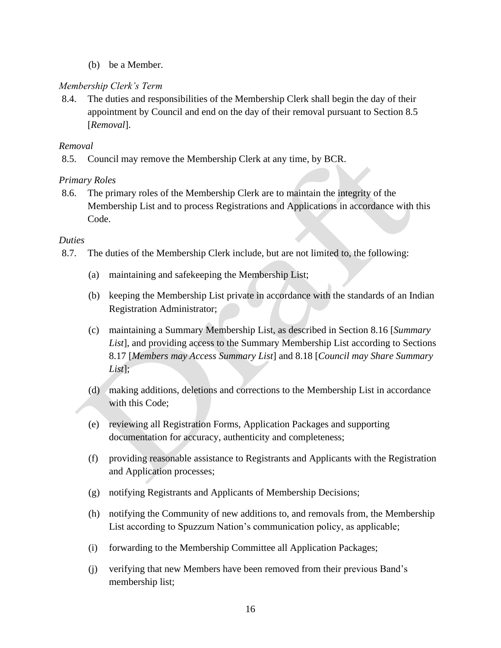(b) be a Member.

# *Membership Clerk's Term*

8.4. The duties and responsibilities of the Membership Clerk shall begin the day of their appointment by Council and end on the day of their removal pursuant to Section 8.5 [*Removal*].

# *Removal*

8.5. Council may remove the Membership Clerk at any time, by BCR.

# *Primary Roles*

8.6. The primary roles of the Membership Clerk are to maintain the integrity of the Membership List and to process Registrations and Applications in accordance with this Code.

# *Duties*

- 8.7. The duties of the Membership Clerk include, but are not limited to, the following:
	- (a) maintaining and safekeeping the Membership List;
	- (b) keeping the Membership List private in accordance with the standards of an Indian Registration Administrator;
	- (c) maintaining a Summary Membership List, as described in Section 8.16 [*Summary List*], and providing access to the Summary Membership List according to Sections 8.17 [*Members may Access Summary List*] and 8.18 [*Council may Share Summary List*];
	- (d) making additions, deletions and corrections to the Membership List in accordance with this Code:
	- (e) reviewing all Registration Forms, Application Packages and supporting documentation for accuracy, authenticity and completeness;
	- (f) providing reasonable assistance to Registrants and Applicants with the Registration and Application processes;
	- (g) notifying Registrants and Applicants of Membership Decisions;
	- (h) notifying the Community of new additions to, and removals from, the Membership List according to Spuzzum Nation's communication policy, as applicable;
	- (i) forwarding to the Membership Committee all Application Packages;
	- (j) verifying that new Members have been removed from their previous Band's membership list;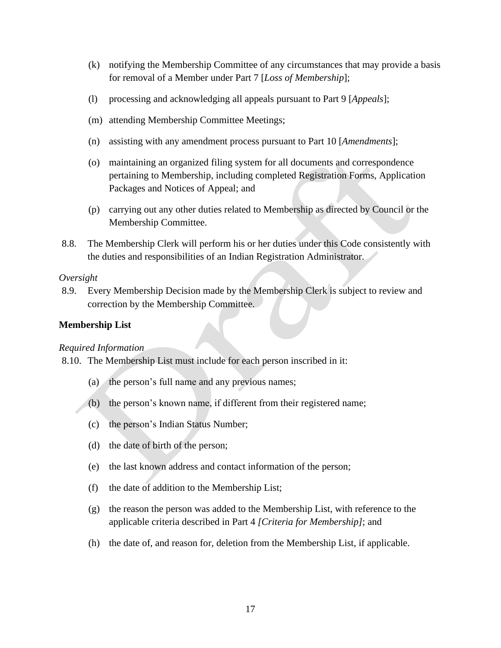- (k) notifying the Membership Committee of any circumstances that may provide a basis for removal of a Member under Part 7 [*Loss of Membership*];
- (l) processing and acknowledging all appeals pursuant to Part 9 [*Appeals*];
- (m) attending Membership Committee Meetings;
- (n) assisting with any amendment process pursuant to Part 10 [*Amendments*];
- (o) maintaining an organized filing system for all documents and correspondence pertaining to Membership, including completed Registration Forms, Application Packages and Notices of Appeal; and
- (p) carrying out any other duties related to Membership as directed by Council or the Membership Committee.
- 8.8. The Membership Clerk will perform his or her duties under this Code consistently with the duties and responsibilities of an Indian Registration Administrator.

#### *Oversight*

8.9. Every Membership Decision made by the Membership Clerk is subject to review and correction by the Membership Committee.

#### <span id="page-16-0"></span>**Membership List**

#### *Required Information*

- 8.10. The Membership List must include for each person inscribed in it:
	- (a) the person's full name and any previous names;
	- (b) the person's known name, if different from their registered name;
	- (c) the person's Indian Status Number;
	- (d) the date of birth of the person;
	- (e) the last known address and contact information of the person;
	- (f) the date of addition to the Membership List;
	- (g) the reason the person was added to the Membership List, with reference to the applicable criteria described in Part 4 *[Criteria for Membership]*; and
	- (h) the date of, and reason for, deletion from the Membership List, if applicable.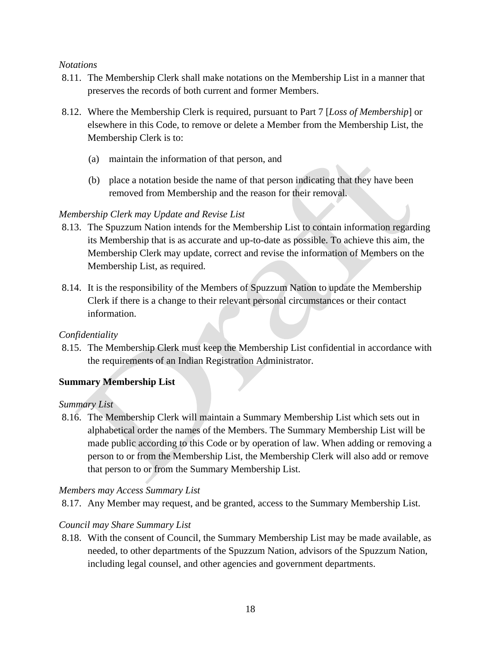#### *Notations*

- 8.11. The Membership Clerk shall make notations on the Membership List in a manner that preserves the records of both current and former Members.
- 8.12. Where the Membership Clerk is required, pursuant to Part 7 [*Loss of Membership*] or elsewhere in this Code, to remove or delete a Member from the Membership List, the Membership Clerk is to:
	- (a) maintain the information of that person, and
	- (b) place a notation beside the name of that person indicating that they have been removed from Membership and the reason for their removal.

# *Membership Clerk may Update and Revise List*

- 8.13. The Spuzzum Nation intends for the Membership List to contain information regarding its Membership that is as accurate and up-to-date as possible. To achieve this aim, the Membership Clerk may update, correct and revise the information of Members on the Membership List, as required.
- 8.14. It is the responsibility of the Members of Spuzzum Nation to update the Membership Clerk if there is a change to their relevant personal circumstances or their contact information.

# *Confidentiality*

8.15. The Membership Clerk must keep the Membership List confidential in accordance with the requirements of an Indian Registration Administrator.

# <span id="page-17-0"></span>**Summary Membership List**

# *Summary List*

8.16. The Membership Clerk will maintain a Summary Membership List which sets out in alphabetical order the names of the Members. The Summary Membership List will be made public according to this Code or by operation of law. When adding or removing a person to or from the Membership List, the Membership Clerk will also add or remove that person to or from the Summary Membership List.

# *Members may Access Summary List*

8.17. Any Member may request, and be granted, access to the Summary Membership List.

# *Council may Share Summary List*

8.18. With the consent of Council, the Summary Membership List may be made available, as needed, to other departments of the Spuzzum Nation, advisors of the Spuzzum Nation, including legal counsel, and other agencies and government departments.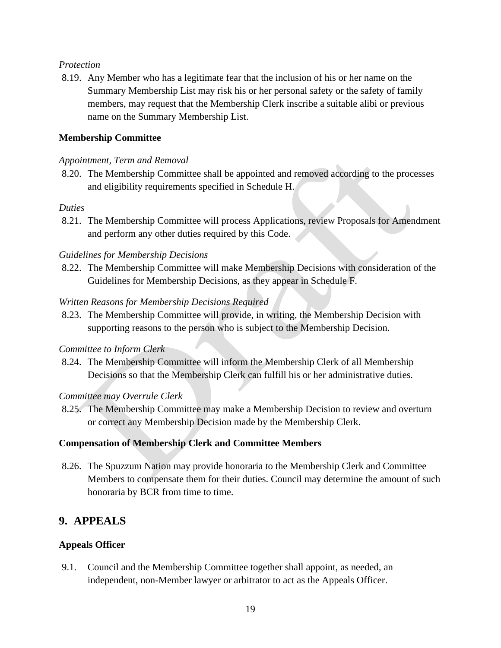#### *Protection*

8.19. Any Member who has a legitimate fear that the inclusion of his or her name on the Summary Membership List may risk his or her personal safety or the safety of family members, may request that the Membership Clerk inscribe a suitable alibi or previous name on the Summary Membership List.

# <span id="page-18-0"></span>**Membership Committee**

#### *Appointment, Term and Removal*

8.20. The Membership Committee shall be appointed and removed according to the processes and eligibility requirements specified in Schedule H.

#### *Duties*

8.21. The Membership Committee will process Applications, review Proposals for Amendment and perform any other duties required by this Code.

#### *Guidelines for Membership Decisions*

8.22. The Membership Committee will make Membership Decisions with consideration of the Guidelines for Membership Decisions, as they appear in Schedule F.

#### *Written Reasons for Membership Decisions Required*

8.23. The Membership Committee will provide, in writing, the Membership Decision with supporting reasons to the person who is subject to the Membership Decision.

#### *Committee to Inform Clerk*

8.24. The Membership Committee will inform the Membership Clerk of all Membership Decisions so that the Membership Clerk can fulfill his or her administrative duties.

#### *Committee may Overrule Clerk*

8.25. The Membership Committee may make a Membership Decision to review and overturn or correct any Membership Decision made by the Membership Clerk.

#### <span id="page-18-1"></span>**Compensation of Membership Clerk and Committee Members**

8.26. The Spuzzum Nation may provide honoraria to the Membership Clerk and Committee Members to compensate them for their duties. Council may determine the amount of such honoraria by BCR from time to time.

# <span id="page-18-2"></span>**9. APPEALS**

# <span id="page-18-3"></span>**Appeals Officer**

9.1. Council and the Membership Committee together shall appoint, as needed, an independent, non-Member lawyer or arbitrator to act as the Appeals Officer.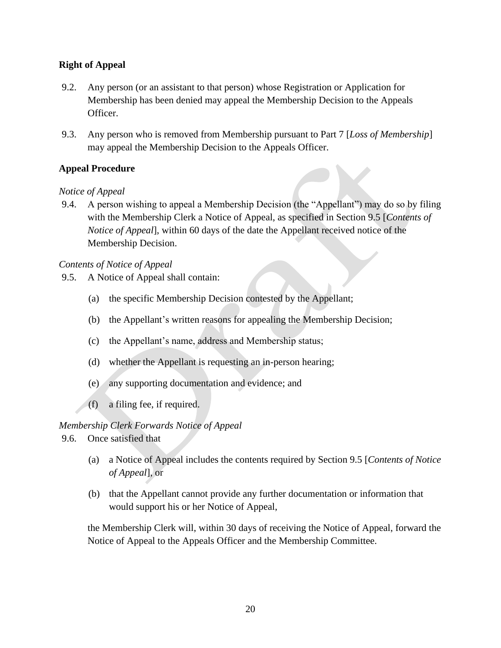# <span id="page-19-0"></span>**Right of Appeal**

- 9.2. Any person (or an assistant to that person) whose Registration or Application for Membership has been denied may appeal the Membership Decision to the Appeals Officer.
- 9.3. Any person who is removed from Membership pursuant to Part 7 [*Loss of Membership*] may appeal the Membership Decision to the Appeals Officer.

# <span id="page-19-1"></span>**Appeal Procedure**

# *Notice of Appeal*

9.4. A person wishing to appeal a Membership Decision (the "Appellant") may do so by filing with the Membership Clerk a Notice of Appeal, as specified in Section 9.5 [*Contents of Notice of Appeal*], within 60 days of the date the Appellant received notice of the Membership Decision.

# *Contents of Notice of Appeal*

- 9.5. A Notice of Appeal shall contain:
	- (a) the specific Membership Decision contested by the Appellant;
	- (b) the Appellant's written reasons for appealing the Membership Decision;
	- (c) the Appellant's name, address and Membership status;
	- (d) whether the Appellant is requesting an in-person hearing;
	- (e) any supporting documentation and evidence; and
	- (f) a filing fee, if required.

# *Membership Clerk Forwards Notice of Appeal*

9.6. Once satisfied that

- (a) a Notice of Appeal includes the contents required by Section 9.5 [*Contents of Notice of Appeal*], or
- (b) that the Appellant cannot provide any further documentation or information that would support his or her Notice of Appeal,

the Membership Clerk will, within 30 days of receiving the Notice of Appeal, forward the Notice of Appeal to the Appeals Officer and the Membership Committee.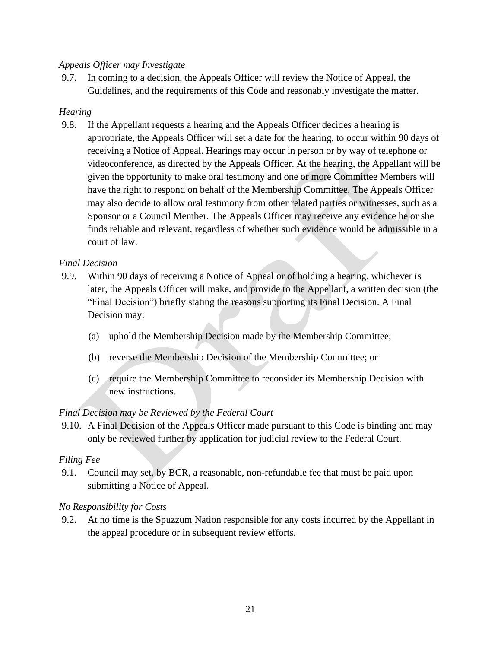# *Appeals Officer may Investigate*

9.7. In coming to a decision, the Appeals Officer will review the Notice of Appeal, the Guidelines, and the requirements of this Code and reasonably investigate the matter.

### *Hearing*

9.8. If the Appellant requests a hearing and the Appeals Officer decides a hearing is appropriate, the Appeals Officer will set a date for the hearing, to occur within 90 days of receiving a Notice of Appeal. Hearings may occur in person or by way of telephone or videoconference, as directed by the Appeals Officer. At the hearing, the Appellant will be given the opportunity to make oral testimony and one or more Committee Members will have the right to respond on behalf of the Membership Committee. The Appeals Officer may also decide to allow oral testimony from other related parties or witnesses, such as a Sponsor or a Council Member. The Appeals Officer may receive any evidence he or she finds reliable and relevant, regardless of whether such evidence would be admissible in a court of law.

#### *Final Decision*

- 9.9. Within 90 days of receiving a Notice of Appeal or of holding a hearing, whichever is later, the Appeals Officer will make, and provide to the Appellant, a written decision (the "Final Decision") briefly stating the reasons supporting its Final Decision. A Final Decision may:
	- (a) uphold the Membership Decision made by the Membership Committee;
	- (b) reverse the Membership Decision of the Membership Committee; or
	- (c) require the Membership Committee to reconsider its Membership Decision with new instructions.

# *Final Decision may be Reviewed by the Federal Court*

9.10. A Final Decision of the Appeals Officer made pursuant to this Code is binding and may only be reviewed further by application for judicial review to the Federal Court.

#### *Filing Fee*

9.1. Council may set, by BCR, a reasonable, non-refundable fee that must be paid upon submitting a Notice of Appeal.

# *No Responsibility for Costs*

9.2. At no time is the Spuzzum Nation responsible for any costs incurred by the Appellant in the appeal procedure or in subsequent review efforts.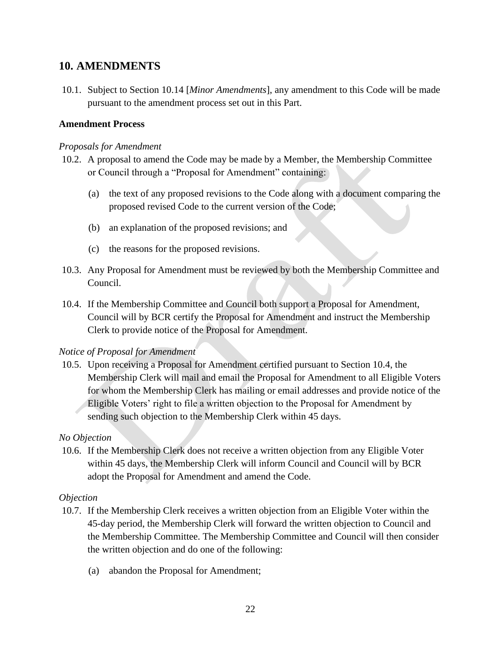# <span id="page-21-0"></span>**10. AMENDMENTS**

10.1. Subject to Section 10.14 [*Minor Amendments*], any amendment to this Code will be made pursuant to the amendment process set out in this Part.

### <span id="page-21-1"></span>**Amendment Process**

#### *Proposals for Amendment*

- 10.2. A proposal to amend the Code may be made by a Member, the Membership Committee or Council through a "Proposal for Amendment" containing:
	- (a) the text of any proposed revisions to the Code along with a document comparing the proposed revised Code to the current version of the Code;
	- (b) an explanation of the proposed revisions; and
	- (c) the reasons for the proposed revisions.
- 10.3. Any Proposal for Amendment must be reviewed by both the Membership Committee and Council.
- 10.4. If the Membership Committee and Council both support a Proposal for Amendment, Council will by BCR certify the Proposal for Amendment and instruct the Membership Clerk to provide notice of the Proposal for Amendment.

# *Notice of Proposal for Amendment*

10.5. Upon receiving a Proposal for Amendment certified pursuant to Section 10.4, the Membership Clerk will mail and email the Proposal for Amendment to all Eligible Voters for whom the Membership Clerk has mailing or email addresses and provide notice of the Eligible Voters' right to file a written objection to the Proposal for Amendment by sending such objection to the Membership Clerk within 45 days.

#### *No Objection*

10.6. If the Membership Clerk does not receive a written objection from any Eligible Voter within 45 days, the Membership Clerk will inform Council and Council will by BCR adopt the Proposal for Amendment and amend the Code.

#### *Objection*

- 10.7. If the Membership Clerk receives a written objection from an Eligible Voter within the 45-day period, the Membership Clerk will forward the written objection to Council and the Membership Committee. The Membership Committee and Council will then consider the written objection and do one of the following:
	- (a) abandon the Proposal for Amendment;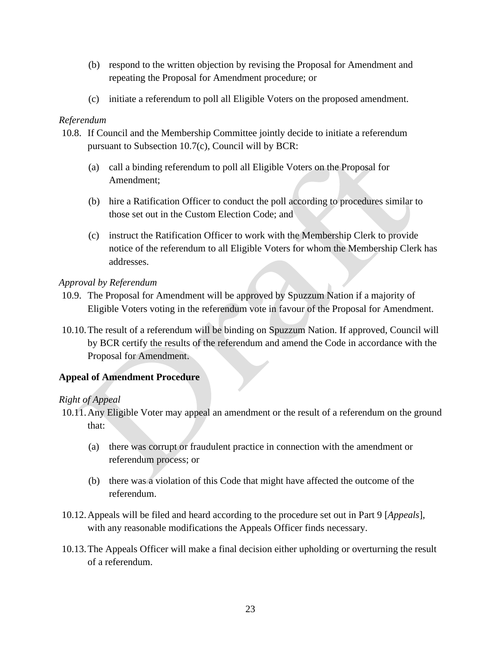- (b) respond to the written objection by revising the Proposal for Amendment and repeating the Proposal for Amendment procedure; or
- (c) initiate a referendum to poll all Eligible Voters on the proposed amendment.

# *Referendum*

- 10.8. If Council and the Membership Committee jointly decide to initiate a referendum pursuant to Subsection 10.7(c), Council will by BCR:
	- (a) call a binding referendum to poll all Eligible Voters on the Proposal for Amendment;
	- (b) hire a Ratification Officer to conduct the poll according to procedures similar to those set out in the Custom Election Code; and
	- (c) instruct the Ratification Officer to work with the Membership Clerk to provide notice of the referendum to all Eligible Voters for whom the Membership Clerk has addresses.

# *Approval by Referendum*

- 10.9. The Proposal for Amendment will be approved by Spuzzum Nation if a majority of Eligible Voters voting in the referendum vote in favour of the Proposal for Amendment.
- 10.10.The result of a referendum will be binding on Spuzzum Nation. If approved, Council will by BCR certify the results of the referendum and amend the Code in accordance with the Proposal for Amendment.

# <span id="page-22-0"></span>**Appeal of Amendment Procedure**

# *Right of Appeal*

- 10.11.Any Eligible Voter may appeal an amendment or the result of a referendum on the ground that:
	- (a) there was corrupt or fraudulent practice in connection with the amendment or referendum process; or
	- (b) there was a violation of this Code that might have affected the outcome of the referendum.
- 10.12.Appeals will be filed and heard according to the procedure set out in Part 9 [*Appeals*], with any reasonable modifications the Appeals Officer finds necessary.
- 10.13.The Appeals Officer will make a final decision either upholding or overturning the result of a referendum.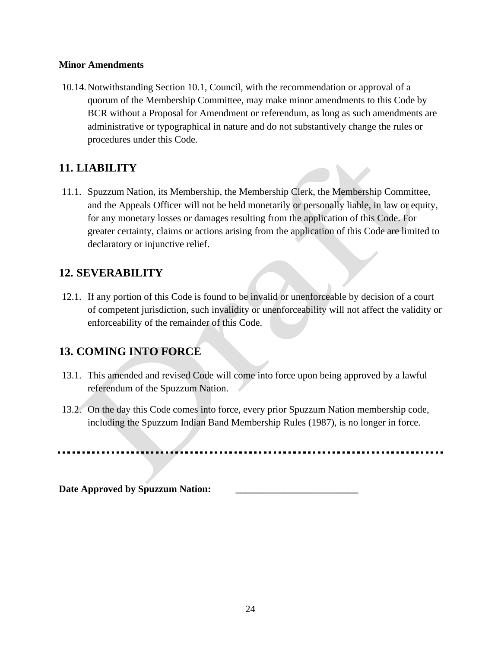#### <span id="page-23-0"></span>**Minor Amendments**

10.14.Notwithstanding Section 10.1, Council, with the recommendation or approval of a quorum of the Membership Committee, may make minor amendments to this Code by BCR without a Proposal for Amendment or referendum, as long as such amendments are administrative or typographical in nature and do not substantively change the rules or procedures under this Code.

# <span id="page-23-1"></span>**11. LIABILITY**

11.1. Spuzzum Nation, its Membership, the Membership Clerk, the Membership Committee, and the Appeals Officer will not be held monetarily or personally liable, in law or equity, for any monetary losses or damages resulting from the application of this Code. For greater certainty, claims or actions arising from the application of this Code are limited to declaratory or injunctive relief.

# <span id="page-23-2"></span>**12. SEVERABILITY**

12.1. If any portion of this Code is found to be invalid or unenforceable by decision of a court of competent jurisdiction, such invalidity or unenforceability will not affect the validity or enforceability of the remainder of this Code.

# <span id="page-23-3"></span>**13. COMING INTO FORCE**

- 13.1. This amended and revised Code will come into force upon being approved by a lawful referendum of the Spuzzum Nation.
- 13.2. On the day this Code comes into force, every prior Spuzzum Nation membership code, including the Spuzzum Indian Band Membership Rules (1987), is no longer in force.

Date Approved by Spuzzum Nation: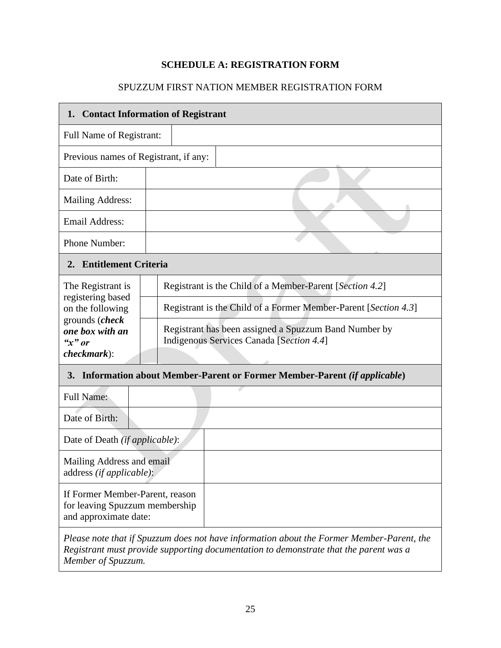# **SCHEDULE A: REGISTRATION FORM**

# SPUZZUM FIRST NATION MEMBER REGISTRATION FORM

<span id="page-24-0"></span>

| 1.                                                                                         | <b>Contact Information of Registrant</b>                                                          |
|--------------------------------------------------------------------------------------------|---------------------------------------------------------------------------------------------------|
| <b>Full Name of Registrant:</b>                                                            |                                                                                                   |
| Previous names of Registrant, if any:                                                      |                                                                                                   |
| Date of Birth:                                                                             |                                                                                                   |
| <b>Mailing Address:</b>                                                                    |                                                                                                   |
| <b>Email Address:</b>                                                                      |                                                                                                   |
| Phone Number:                                                                              |                                                                                                   |
| 2. Entitlement Criteria                                                                    |                                                                                                   |
| The Registrant is                                                                          | Registrant is the Child of a Member-Parent [Section 4.2]                                          |
| registering based<br>on the following                                                      | Registrant is the Child of a Former Member-Parent [Section 4.3]                                   |
| grounds (check<br>one box with an<br>" $x"$ or                                             | Registrant has been assigned a Spuzzum Band Number by<br>Indigenous Services Canada [Section 4.4] |
| $checkmark$ ):                                                                             |                                                                                                   |
| <b>3.</b>                                                                                  | Information about Member-Parent or Former Member-Parent (if applicable)                           |
| <b>Full Name:</b>                                                                          |                                                                                                   |
| Date of Birth:                                                                             |                                                                                                   |
| Date of Death <i>(if applicable)</i> :                                                     |                                                                                                   |
| Mailing Address and email<br>address (if applicable):                                      |                                                                                                   |
| If Former Member-Parent, reason<br>for leaving Spuzzum membership<br>and approximate date: |                                                                                                   |
|                                                                                            |                                                                                                   |

*Please note that if Spuzzum does not have information about the Former Member-Parent, the Registrant must provide supporting documentation to demonstrate that the parent was a Member of Spuzzum.*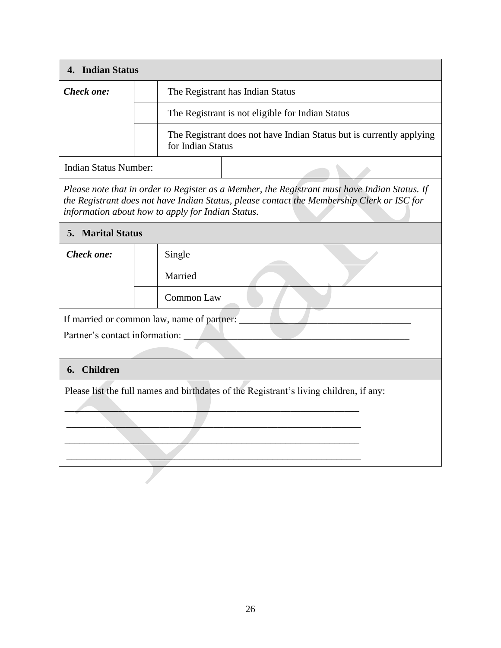| 4. Indian Status               |                                                                                                                                                                                                                                                  |
|--------------------------------|--------------------------------------------------------------------------------------------------------------------------------------------------------------------------------------------------------------------------------------------------|
| Check one:                     | The Registrant has Indian Status                                                                                                                                                                                                                 |
|                                | The Registrant is not eligible for Indian Status                                                                                                                                                                                                 |
|                                | The Registrant does not have Indian Status but is currently applying<br>for Indian Status                                                                                                                                                        |
| <b>Indian Status Number:</b>   |                                                                                                                                                                                                                                                  |
|                                | Please note that in order to Register as a Member, the Registrant must have Indian Status. If<br>the Registrant does not have Indian Status, please contact the Membership Clerk or ISC for<br>information about how to apply for Indian Status. |
| <b>5. Marital Status</b>       |                                                                                                                                                                                                                                                  |
| Check one:                     | Single                                                                                                                                                                                                                                           |
|                                | Married                                                                                                                                                                                                                                          |
|                                | Common Law                                                                                                                                                                                                                                       |
|                                | If married or common law, name of partner:                                                                                                                                                                                                       |
| Partner's contact information: |                                                                                                                                                                                                                                                  |
| <b>Children</b><br>6.          |                                                                                                                                                                                                                                                  |
|                                | Please list the full names and birthdates of the Registrant's living children, if any:                                                                                                                                                           |
|                                |                                                                                                                                                                                                                                                  |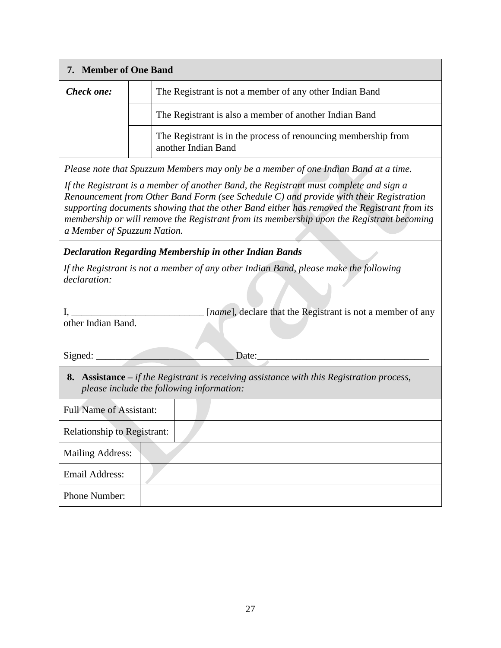| 7. Member of One Band |                                                                                       |
|-----------------------|---------------------------------------------------------------------------------------|
| Check one:            | The Registrant is not a member of any other Indian Band                               |
|                       | The Registrant is also a member of another Indian Band                                |
|                       | The Registrant is in the process of renouncing membership from<br>another Indian Band |
|                       |                                                                                       |

*Please note that Spuzzum Members may only be a member of one Indian Band at a time.* 

*If the Registrant is a member of another Band, the Registrant must complete and sign a Renouncement from Other Band Form (see Schedule C) and provide with their Registration supporting documents showing that the other Band either has removed the Registrant from its membership or will remove the Registrant from its membership upon the Registrant becoming a Member of Spuzzum Nation.*

*Declaration Regarding Membership in other Indian Bands*

| If the Registrant is not a member of any other Indian Band, please make the following |  |  |  |
|---------------------------------------------------------------------------------------|--|--|--|
| declaration:                                                                          |  |  |  |

|                    |  | [ <i>name</i> ], declare that the Registrant is not a member of any |
|--------------------|--|---------------------------------------------------------------------|
| other Indian Band. |  |                                                                     |

Signed: \_\_\_\_\_\_\_\_\_\_\_\_\_\_\_\_\_\_\_\_\_\_\_\_\_\_\_\_ Date:\_\_\_\_\_\_\_\_\_\_\_\_\_\_\_\_\_\_\_\_\_\_\_\_\_\_\_\_\_\_\_\_\_\_\_

**8. Assistance –** *if the Registrant is receiving assistance with this Registration process, please include the following information:*

| <b>Full Name of Assistant:</b>     |  |
|------------------------------------|--|
| <b>Relationship to Registrant:</b> |  |
| <b>Mailing Address:</b>            |  |
| Email Address:                     |  |
| Phone Number:                      |  |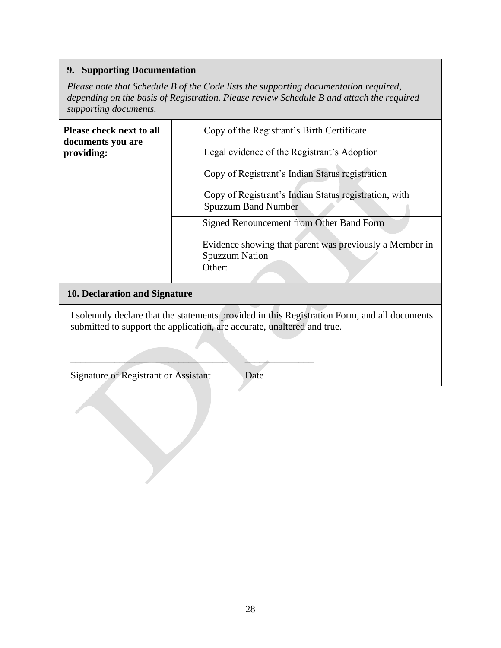# **9. Supporting Documentation**

*Please note that Schedule B of the Code lists the supporting documentation required, depending on the basis of Registration. Please review Schedule B and attach the required supporting documents.* 

| <b>Please check next to all</b><br>documents you are | Copy of the Registrant's Birth Certificate                                          |
|------------------------------------------------------|-------------------------------------------------------------------------------------|
| providing:                                           | Legal evidence of the Registrant's Adoption                                         |
|                                                      | Copy of Registrant's Indian Status registration                                     |
|                                                      | Copy of Registrant's Indian Status registration, with<br><b>Spuzzum Band Number</b> |
|                                                      | Signed Renouncement from Other Band Form                                            |
|                                                      | Evidence showing that parent was previously a Member in<br><b>Spuzzum Nation</b>    |
|                                                      | Other:                                                                              |
| 10. Declaration and Signature                        |                                                                                     |

# I solemnly declare that the statements provided in this Registration Form, and all documents submitted to support the application, are accurate, unaltered and true.

 $\frac{1}{2}$  ,  $\frac{1}{2}$  ,  $\frac{1}{2}$  ,  $\frac{1}{2}$  ,  $\frac{1}{2}$  ,  $\frac{1}{2}$  ,  $\frac{1}{2}$  ,  $\frac{1}{2}$  ,  $\frac{1}{2}$  ,  $\frac{1}{2}$ 

Signature of Registrant or Assistant Date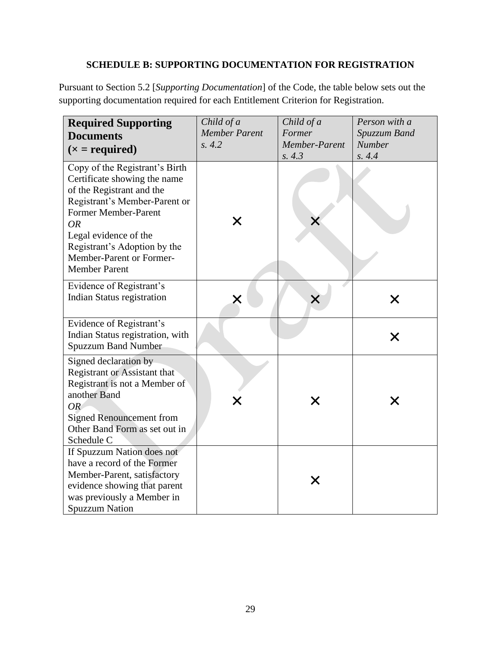# **SCHEDULE B: SUPPORTING DOCUMENTATION FOR REGISTRATION**

<span id="page-28-0"></span>Pursuant to Section 5.2 [*Supporting Documentation*] of the Code, the table below sets out the supporting documentation required for each Entitlement Criterion for Registration.

| <b>Required Supporting</b><br><b>Documents</b><br>$(x = required)$                                                                                                                                                                                                             | Child of a<br><b>Member Parent</b><br>s. 4.2 | Child of a<br>Former<br>Member-Parent<br>s. 4.3 | Person with a<br>Spuzzum Band<br><b>Number</b><br>s. 4.4 |
|--------------------------------------------------------------------------------------------------------------------------------------------------------------------------------------------------------------------------------------------------------------------------------|----------------------------------------------|-------------------------------------------------|----------------------------------------------------------|
| Copy of the Registrant's Birth<br>Certificate showing the name<br>of the Registrant and the<br>Registrant's Member-Parent or<br>Former Member-Parent<br><b>OR</b><br>Legal evidence of the<br>Registrant's Adoption by the<br>Member-Parent or Former-<br><b>Member Parent</b> | Х                                            |                                                 |                                                          |
| Evidence of Registrant's<br><b>Indian Status registration</b>                                                                                                                                                                                                                  | X                                            |                                                 |                                                          |
| Evidence of Registrant's<br>Indian Status registration, with<br><b>Spuzzum Band Number</b>                                                                                                                                                                                     |                                              |                                                 | X                                                        |
| Signed declaration by<br><b>Registrant or Assistant that</b><br>Registrant is not a Member of<br>another Band<br><b>OR</b><br><b>Signed Renouncement from</b><br>Other Band Form as set out in<br>Schedule C                                                                   | Х                                            | X                                               | X                                                        |
| If Spuzzum Nation does not<br>have a record of the Former<br>Member-Parent, satisfactory<br>evidence showing that parent<br>was previously a Member in<br><b>Spuzzum Nation</b>                                                                                                |                                              |                                                 |                                                          |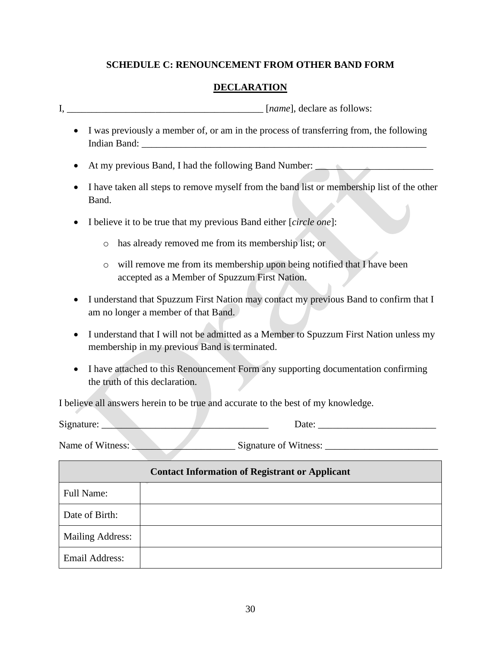# **SCHEDULE C: RENOUNCEMENT FROM OTHER BAND FORM**

# **DECLARATION**

<span id="page-29-0"></span>I,  $[name]$ , declare as follows:

- I was previously a member of, or am in the process of transferring from, the following Indian Band:
- At my previous Band, I had the following Band Number:
- I have taken all steps to remove myself from the band list or membership list of the other Band.
- I believe it to be true that my previous Band either [*circle one*]:
	- o has already removed me from its membership list; or
	- o will remove me from its membership upon being notified that I have been accepted as a Member of Spuzzum First Nation.
- I understand that Spuzzum First Nation may contact my previous Band to confirm that I am no longer a member of that Band.
- I understand that I will not be admitted as a Member to Spuzzum First Nation unless my membership in my previous Band is terminated.
- I have attached to this Renouncement Form any supporting documentation confirming the truth of this declaration.

I believe all answers herein to be true and accurate to the best of my knowledge.

Signature: \_\_\_\_\_\_\_\_\_\_\_\_\_\_\_\_\_\_\_\_\_\_\_\_\_\_\_\_\_\_\_\_\_\_ Date: \_\_\_\_\_\_\_\_\_\_\_\_\_\_\_\_\_\_\_\_\_\_\_\_

| Name of Witness: |
|------------------|
|------------------|

Name of Witness: \_\_\_\_\_\_\_\_\_\_\_\_\_\_\_\_\_\_\_\_\_ Signature of Witness: \_\_\_\_\_\_\_\_\_\_\_\_\_\_\_\_\_\_\_\_\_\_\_

|                         | <b>Contact Information of Registrant or Applicant</b> |
|-------------------------|-------------------------------------------------------|
| <b>Full Name:</b>       |                                                       |
| Date of Birth:          |                                                       |
| <b>Mailing Address:</b> |                                                       |
| <b>Email Address:</b>   |                                                       |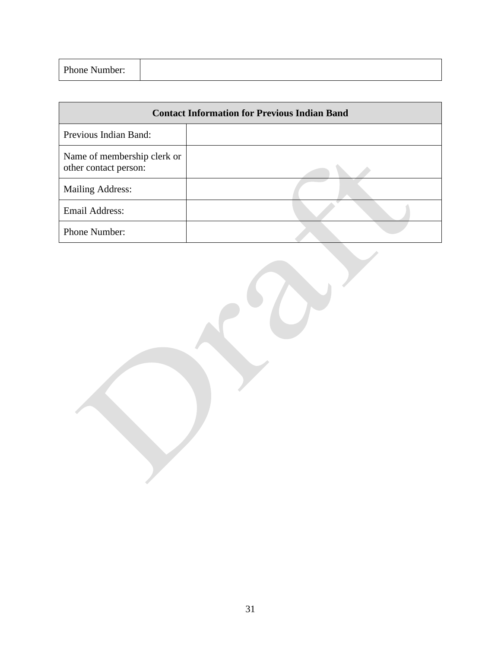| Phone Number:<br>. |  |  |
|--------------------|--|--|
|--------------------|--|--|

| <b>Contact Information for Previous Indian Band</b>  |  |  |  |  |
|------------------------------------------------------|--|--|--|--|
| Previous Indian Band:                                |  |  |  |  |
| Name of membership clerk or<br>other contact person: |  |  |  |  |
| <b>Mailing Address:</b>                              |  |  |  |  |
| <b>Email Address:</b>                                |  |  |  |  |
| Phone Number:                                        |  |  |  |  |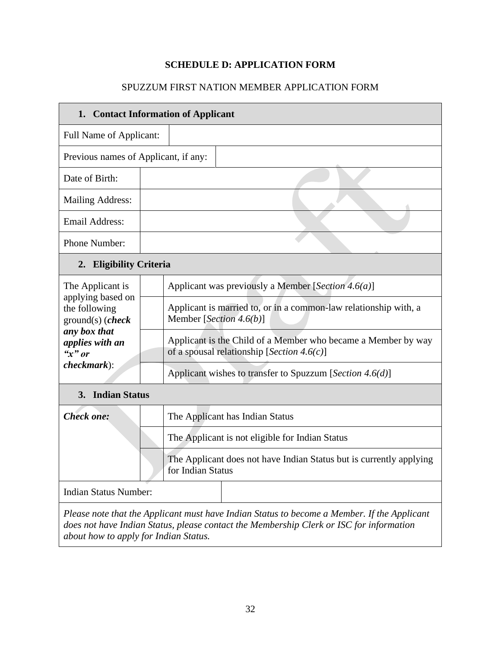# **SCHEDULE D: APPLICATION FORM**

# SPUZZUM FIRST NATION MEMBER APPLICATION FORM

<span id="page-31-0"></span>

| 1. Contact Information of Applicant                      |                                                                                                                                                                                        |  |  |  |
|----------------------------------------------------------|----------------------------------------------------------------------------------------------------------------------------------------------------------------------------------------|--|--|--|
| <b>Full Name of Applicant:</b>                           |                                                                                                                                                                                        |  |  |  |
| Previous names of Applicant, if any:                     |                                                                                                                                                                                        |  |  |  |
| Date of Birth:                                           |                                                                                                                                                                                        |  |  |  |
| <b>Mailing Address:</b>                                  |                                                                                                                                                                                        |  |  |  |
| <b>Email Address:</b>                                    |                                                                                                                                                                                        |  |  |  |
| Phone Number:                                            |                                                                                                                                                                                        |  |  |  |
| 2. Eligibility Criteria                                  |                                                                                                                                                                                        |  |  |  |
| The Applicant is                                         | Applicant was previously a Member [Section 4.6(a)]                                                                                                                                     |  |  |  |
| applying based on<br>the following<br>$ground(s)$ (check | Applicant is married to, or in a common-law relationship with, a<br>Member [Section 4.6(b)]                                                                                            |  |  |  |
| any box that<br>applies with an<br>" $x"$ or             | Applicant is the Child of a Member who became a Member by way<br>of a spousal relationship [Section 4.6(c)]                                                                            |  |  |  |
| $checkmark$ ):                                           | Applicant wishes to transfer to Spuzzum [Section 4.6(d)]                                                                                                                               |  |  |  |
| 3. Indian Status                                         |                                                                                                                                                                                        |  |  |  |
| <b>Check one:</b>                                        | The Applicant has Indian Status                                                                                                                                                        |  |  |  |
|                                                          | The Applicant is not eligible for Indian Status                                                                                                                                        |  |  |  |
|                                                          | The Applicant does not have Indian Status but is currently applying<br>for Indian Status                                                                                               |  |  |  |
| <b>Indian Status Number:</b>                             |                                                                                                                                                                                        |  |  |  |
| about how to apply for Indian Status.                    | Please note that the Applicant must have Indian Status to become a Member. If the Applicant<br>does not have Indian Status, please contact the Membership Clerk or ISC for information |  |  |  |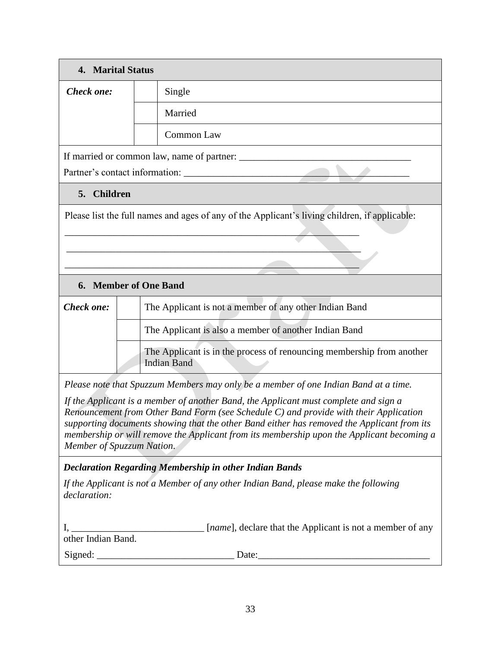| <b>4. Marital Status</b>  |                                                                                             |                                                                                                                                                                                                                                                                                                                                                                          |  |  |
|---------------------------|---------------------------------------------------------------------------------------------|--------------------------------------------------------------------------------------------------------------------------------------------------------------------------------------------------------------------------------------------------------------------------------------------------------------------------------------------------------------------------|--|--|
| Check one:                |                                                                                             | Single                                                                                                                                                                                                                                                                                                                                                                   |  |  |
|                           |                                                                                             | Married                                                                                                                                                                                                                                                                                                                                                                  |  |  |
|                           | <b>Common Law</b>                                                                           |                                                                                                                                                                                                                                                                                                                                                                          |  |  |
|                           |                                                                                             | If married or common law, name of partner:                                                                                                                                                                                                                                                                                                                               |  |  |
|                           |                                                                                             |                                                                                                                                                                                                                                                                                                                                                                          |  |  |
| 5. Children               |                                                                                             |                                                                                                                                                                                                                                                                                                                                                                          |  |  |
|                           |                                                                                             | Please list the full names and ages of any of the Applicant's living children, if applicable:                                                                                                                                                                                                                                                                            |  |  |
|                           |                                                                                             |                                                                                                                                                                                                                                                                                                                                                                          |  |  |
|                           |                                                                                             |                                                                                                                                                                                                                                                                                                                                                                          |  |  |
|                           |                                                                                             |                                                                                                                                                                                                                                                                                                                                                                          |  |  |
| 6. Member of One Band     |                                                                                             |                                                                                                                                                                                                                                                                                                                                                                          |  |  |
| Check one:                |                                                                                             | The Applicant is not a member of any other Indian Band                                                                                                                                                                                                                                                                                                                   |  |  |
|                           | The Applicant is also a member of another Indian Band                                       |                                                                                                                                                                                                                                                                                                                                                                          |  |  |
|                           | The Applicant is in the process of renouncing membership from another<br><b>Indian Band</b> |                                                                                                                                                                                                                                                                                                                                                                          |  |  |
|                           |                                                                                             | Please note that Spuzzum Members may only be a member of one Indian Band at a time.                                                                                                                                                                                                                                                                                      |  |  |
| Member of Spuzzum Nation. |                                                                                             | If the Applicant is a member of another Band, the Applicant must complete and sign a<br>Renouncement from Other Band Form (see Schedule C) and provide with their Application<br>supporting documents showing that the other Band either has removed the Applicant from its<br>membership or will remove the Applicant from its membership upon the Applicant becoming a |  |  |
|                           |                                                                                             | <b>Declaration Regarding Membership in other Indian Bands</b>                                                                                                                                                                                                                                                                                                            |  |  |
| declaration:              |                                                                                             | If the Applicant is not a Member of any other Indian Band, please make the following                                                                                                                                                                                                                                                                                     |  |  |
| other Indian Band.        |                                                                                             | I, _______________________________ [ <i>name</i> ], declare that the Applicant is not a member of any                                                                                                                                                                                                                                                                    |  |  |
|                           |                                                                                             | Signed: Date: Date:                                                                                                                                                                                                                                                                                                                                                      |  |  |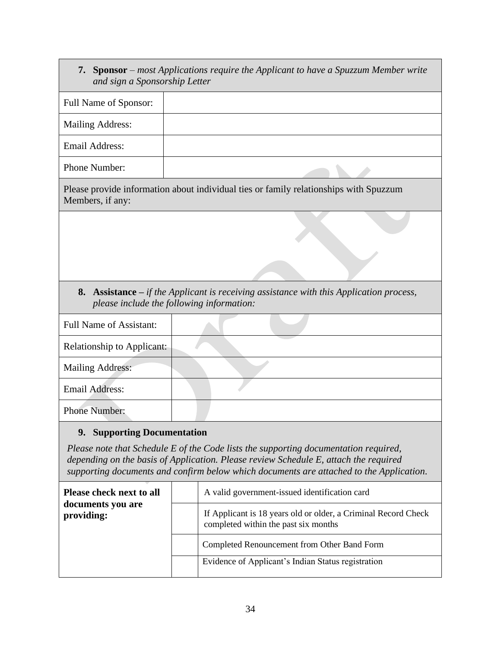| and sign a Sponsorship Letter     | 7. Sponsor – most Applications require the Applicant to have a Spuzzum Member write                                                    |
|-----------------------------------|----------------------------------------------------------------------------------------------------------------------------------------|
| Full Name of Sponsor:             |                                                                                                                                        |
| <b>Mailing Address:</b>           |                                                                                                                                        |
| <b>Email Address:</b>             |                                                                                                                                        |
| Phone Number:                     |                                                                                                                                        |
| Members, if any:                  | Please provide information about individual ties or family relationships with Spuzzum                                                  |
|                                   |                                                                                                                                        |
|                                   |                                                                                                                                        |
|                                   | 8. Assistance $-i f$ the Applicant is receiving assistance with this Application process,<br>please include the following information: |
| <b>Full Name of Assistant:</b>    |                                                                                                                                        |
| <b>Relationship to Applicant:</b> |                                                                                                                                        |
| <b>Mailing Address:</b>           |                                                                                                                                        |
| <b>Email Address:</b>             |                                                                                                                                        |
| <b>Phone Number:</b>              |                                                                                                                                        |
| 9. Supporting Documentation       |                                                                                                                                        |

*Please note that Schedule E of the Code lists the supporting documentation required, depending on the basis of Application. Please review Schedule E, attach the required supporting documents and confirm below which documents are attached to the Application.* 

| Please check next to all<br>documents you are<br>providing: | A valid government-issued identification card                                                          |  |  |  |
|-------------------------------------------------------------|--------------------------------------------------------------------------------------------------------|--|--|--|
|                                                             | If Applicant is 18 years old or older, a Criminal Record Check<br>completed within the past six months |  |  |  |
|                                                             | Completed Renouncement from Other Band Form                                                            |  |  |  |
|                                                             | Evidence of Applicant's Indian Status registration                                                     |  |  |  |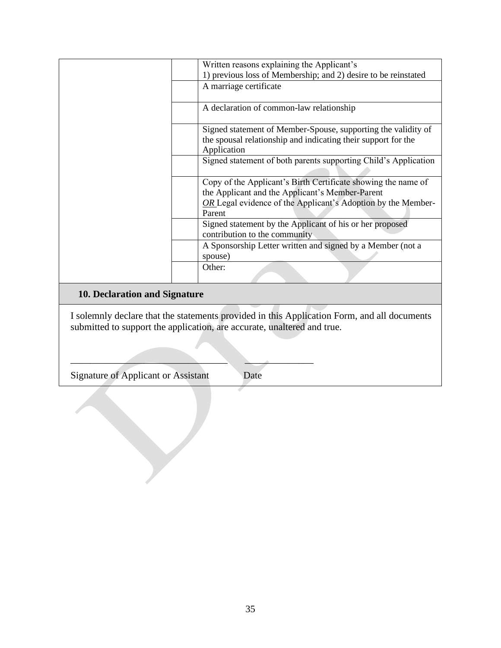|                 | Written reasons explaining the Applicant's                      |
|-----------------|-----------------------------------------------------------------|
|                 | 1) previous loss of Membership; and 2) desire to be reinstated  |
|                 | A marriage certificate                                          |
|                 |                                                                 |
|                 | A declaration of common-law relationship                        |
|                 |                                                                 |
|                 | Signed statement of Member-Spouse, supporting the validity of   |
|                 | the spousal relationship and indicating their support for the   |
|                 | Application                                                     |
|                 | Signed statement of both parents supporting Child's Application |
|                 |                                                                 |
|                 | Copy of the Applicant's Birth Certificate showing the name of   |
|                 | the Applicant and the Applicant's Member-Parent                 |
|                 | OR Legal evidence of the Applicant's Adoption by the Member-    |
|                 | Parent                                                          |
|                 | Signed statement by the Applicant of his or her proposed        |
|                 | contribution to the community                                   |
|                 | A Sponsorship Letter written and signed by a Member (not a      |
|                 | spouse)                                                         |
|                 | Other:                                                          |
|                 |                                                                 |
| -ים ב<br>10.511 |                                                                 |

# **10. Declaration and Signature**

I solemnly declare that the statements provided in this Application Form, and all documents submitted to support the application, are accurate, unaltered and true.

Signature of Applicant or Assistant Date

 $\frac{1}{2}$  ,  $\frac{1}{2}$  ,  $\frac{1}{2}$  ,  $\frac{1}{2}$  ,  $\frac{1}{2}$  ,  $\frac{1}{2}$  ,  $\frac{1}{2}$  ,  $\frac{1}{2}$  ,  $\frac{1}{2}$  ,  $\frac{1}{2}$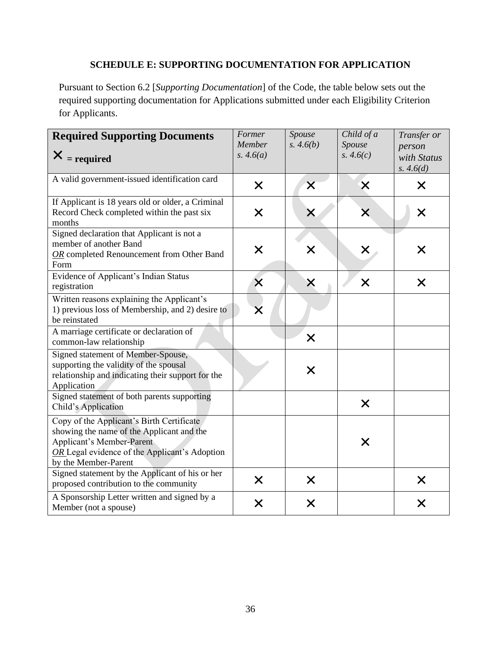# **SCHEDULE E: SUPPORTING DOCUMENTATION FOR APPLICATION**

<span id="page-35-0"></span>Pursuant to Section 6.2 [*Supporting Documentation*] of the Code, the table below sets out the required supporting documentation for Applications submitted under each Eligibility Criterion for Applicants.

| <b>Required Supporting Documents</b><br>$X = required$                                                                                                                                              | Former<br>Member<br>s. $4.6(a)$ | Spouse<br>s. 4.6(b)     | Child of a<br>Spouse<br>s. $4.6(c)$ | Transfer or<br>person<br>with Status<br>s. $4.6(d)$ |
|-----------------------------------------------------------------------------------------------------------------------------------------------------------------------------------------------------|---------------------------------|-------------------------|-------------------------------------|-----------------------------------------------------|
| A valid government-issued identification card                                                                                                                                                       | $\times$                        | $\overline{\mathsf{X}}$ | $\times$                            | X                                                   |
| If Applicant is 18 years old or older, a Criminal<br>Record Check completed within the past six<br>months                                                                                           | $\times$                        | X                       | $\times$                            | $\times$                                            |
| Signed declaration that Applicant is not a<br>member of another Band<br>OR completed Renouncement from Other Band<br>Form                                                                           | $\times$                        | X                       | $\bm{\mathsf{X}}$                   | X                                                   |
| Evidence of Applicant's Indian Status<br>registration                                                                                                                                               | $\times$                        | X                       | $\times$                            | $\times$                                            |
| Written reasons explaining the Applicant's<br>1) previous loss of Membership, and 2) desire to<br>be reinstated                                                                                     | X                               |                         |                                     |                                                     |
| A marriage certificate or declaration of<br>common-law relationship                                                                                                                                 |                                 | $\times$                |                                     |                                                     |
| Signed statement of Member-Spouse,<br>supporting the validity of the spousal<br>relationship and indicating their support for the<br>Application                                                    |                                 | $\times$                |                                     |                                                     |
| Signed statement of both parents supporting<br>Child's Application                                                                                                                                  |                                 |                         | $\times$                            |                                                     |
| Copy of the Applicant's Birth Certificate<br>showing the name of the Applicant and the<br><b>Applicant's Member-Parent</b><br>OR Legal evidence of the Applicant's Adoption<br>by the Member-Parent |                                 |                         | $\times$                            |                                                     |
| Signed statement by the Applicant of his or her<br>proposed contribution to the community                                                                                                           | $\times$                        | $\boldsymbol{\times}$   |                                     | $\times$                                            |
| A Sponsorship Letter written and signed by a<br>Member (not a spouse)                                                                                                                               | $\times$                        | $\bm{\mathsf{X}}$       |                                     | $\bm{\times}$                                       |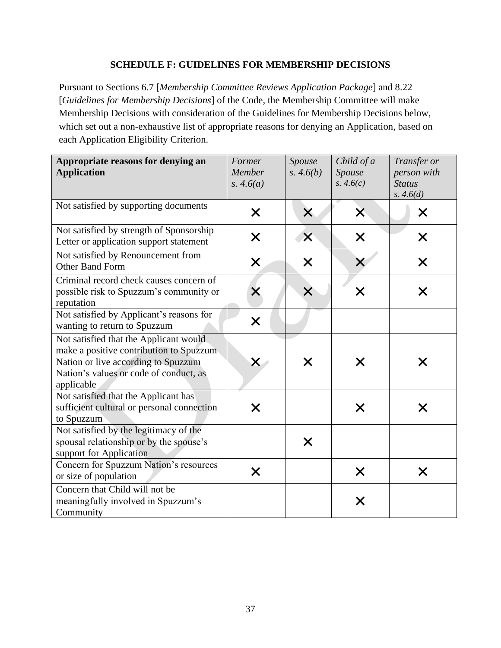### **SCHEDULE F: GUIDELINES FOR MEMBERSHIP DECISIONS**

<span id="page-36-0"></span>Pursuant to Sections 6.7 [*Membership Committee Reviews Application Package*] and 8.22 [*Guidelines for Membership Decisions*] of the Code, the Membership Committee will make Membership Decisions with consideration of the Guidelines for Membership Decisions below, which set out a non-exhaustive list of appropriate reasons for denying an Application, based on each Application Eligibility Criterion.

| Appropriate reasons for denying an<br><b>Application</b>                                                                                                                         | Former<br>Member<br>s. $4.6(a)$ | Spouse<br>s. $4.6(b)$ | Child of a<br>Spouse<br>s. $4.6(c)$ | Transfer or<br>person with<br><b>Status</b><br>s. $4.6(d)$ |
|----------------------------------------------------------------------------------------------------------------------------------------------------------------------------------|---------------------------------|-----------------------|-------------------------------------|------------------------------------------------------------|
| Not satisfied by supporting documents                                                                                                                                            | $\times$                        | $\times$              | X                                   | $\times$                                                   |
| Not satisfied by strength of Sponsorship<br>Letter or application support statement                                                                                              | $\times$                        | $\times$              | $\bm{\times}$                       | X                                                          |
| Not satisfied by Renouncement from<br>Other Band Form                                                                                                                            | $\bm{\times}$                   | X                     |                                     | X                                                          |
| Criminal record check causes concern of<br>possible risk to Spuzzum's community or<br>reputation                                                                                 | X                               | X                     | X                                   | X                                                          |
| Not satisfied by Applicant's reasons for<br>wanting to return to Spuzzum                                                                                                         | $\times$                        |                       |                                     |                                                            |
| Not satisfied that the Applicant would<br>make a positive contribution to Spuzzum<br>Nation or live according to Spuzzum<br>Nation's values or code of conduct, as<br>applicable |                                 | Х                     |                                     | Х                                                          |
| Not satisfied that the Applicant has<br>sufficient cultural or personal connection<br>to Spuzzum                                                                                 | $\times$                        |                       | X                                   | X                                                          |
| Not satisfied by the legitimacy of the<br>spousal relationship or by the spouse's<br>support for Application                                                                     |                                 | X                     |                                     |                                                            |
| Concern for Spuzzum Nation's resources<br>or size of population                                                                                                                  | $\times$                        |                       | X                                   | X                                                          |
| Concern that Child will not be<br>meaningfully involved in Spuzzum's<br>Community                                                                                                |                                 |                       | X                                   |                                                            |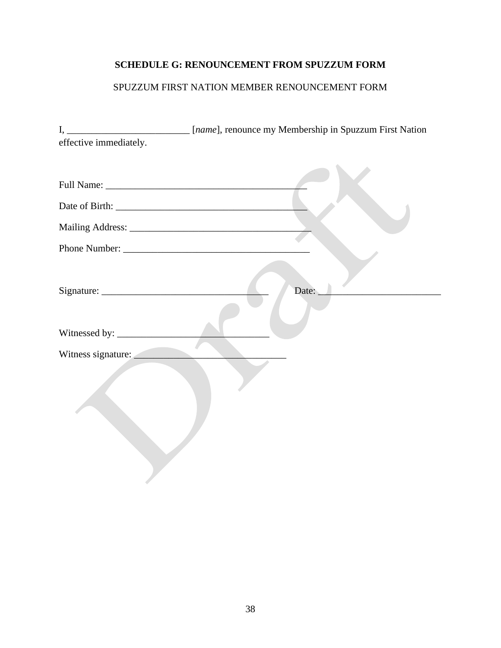# <span id="page-37-0"></span>**SCHEDULE G: RENOUNCEMENT FROM SPUZZUM FORM**

# SPUZZUM FIRST NATION MEMBER RENOUNCEMENT FORM

|                        | I, _________________________ [name], renounce my Membership in Spuzzum First Nation |
|------------------------|-------------------------------------------------------------------------------------|
| effective immediately. |                                                                                     |
|                        |                                                                                     |
|                        |                                                                                     |
|                        |                                                                                     |
|                        |                                                                                     |
|                        |                                                                                     |
|                        | Date:                                                                               |
|                        |                                                                                     |
| Witness signature:     |                                                                                     |
|                        |                                                                                     |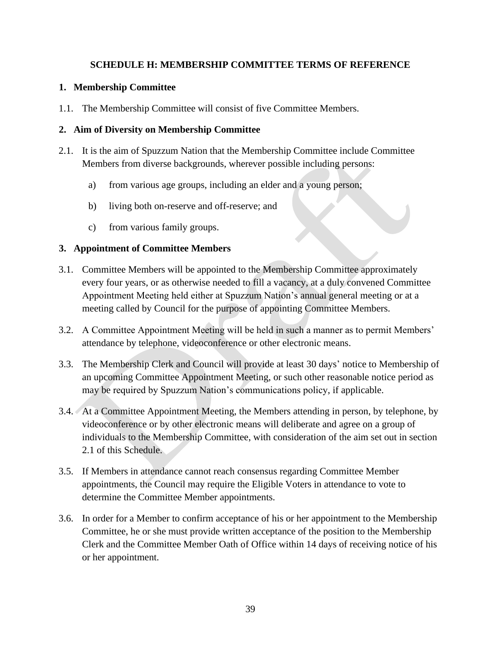# **SCHEDULE H: MEMBERSHIP COMMITTEE TERMS OF REFERENCE**

# <span id="page-38-0"></span>**1. Membership Committee**

1.1. The Membership Committee will consist of five Committee Members.

# **2. Aim of Diversity on Membership Committee**

- 2.1. It is the aim of Spuzzum Nation that the Membership Committee include Committee Members from diverse backgrounds, wherever possible including persons:
	- a) from various age groups, including an elder and a young person;
	- b) living both on-reserve and off-reserve; and
	- c) from various family groups.

# **3. Appointment of Committee Members**

- 3.1. Committee Members will be appointed to the Membership Committee approximately every four years, or as otherwise needed to fill a vacancy, at a duly convened Committee Appointment Meeting held either at Spuzzum Nation's annual general meeting or at a meeting called by Council for the purpose of appointing Committee Members.
- 3.2. A Committee Appointment Meeting will be held in such a manner as to permit Members' attendance by telephone, videoconference or other electronic means.
- 3.3. The Membership Clerk and Council will provide at least 30 days' notice to Membership of an upcoming Committee Appointment Meeting, or such other reasonable notice period as may be required by Spuzzum Nation's communications policy, if applicable.
- 3.4. At a Committee Appointment Meeting, the Members attending in person, by telephone, by videoconference or by other electronic means will deliberate and agree on a group of individuals to the Membership Committee, with consideration of the aim set out in section 2.1 of this Schedule.
- 3.5. If Members in attendance cannot reach consensus regarding Committee Member appointments, the Council may require the Eligible Voters in attendance to vote to determine the Committee Member appointments.
- 3.6. In order for a Member to confirm acceptance of his or her appointment to the Membership Committee, he or she must provide written acceptance of the position to the Membership Clerk and the Committee Member Oath of Office within 14 days of receiving notice of his or her appointment.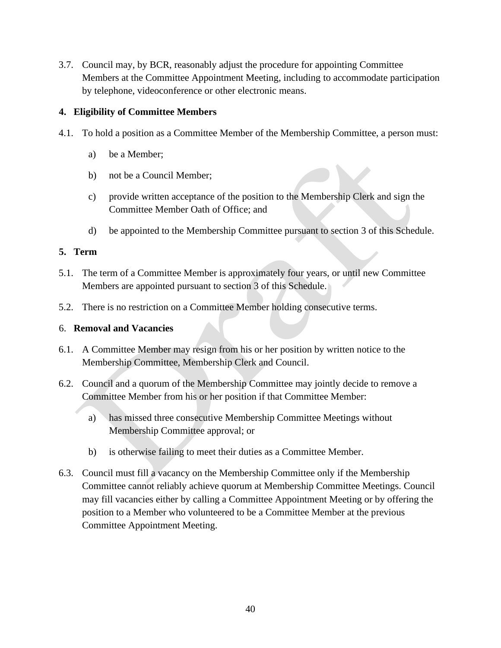3.7. Council may, by BCR, reasonably adjust the procedure for appointing Committee Members at the Committee Appointment Meeting, including to accommodate participation by telephone, videoconference or other electronic means.

# **4. Eligibility of Committee Members**

- 4.1. To hold a position as a Committee Member of the Membership Committee, a person must:
	- a) be a Member;
	- b) not be a Council Member;
	- c) provide written acceptance of the position to the Membership Clerk and sign the Committee Member Oath of Office; and
	- d) be appointed to the Membership Committee pursuant to section 3 of this Schedule.

# **5. Term**

- 5.1. The term of a Committee Member is approximately four years, or until new Committee Members are appointed pursuant to section 3 of this Schedule.
- 5.2. There is no restriction on a Committee Member holding consecutive terms.

# 6. **Removal and Vacancies**

- 6.1. A Committee Member may resign from his or her position by written notice to the Membership Committee, Membership Clerk and Council.
- 6.2. Council and a quorum of the Membership Committee may jointly decide to remove a Committee Member from his or her position if that Committee Member:
	- a) has missed three consecutive Membership Committee Meetings without Membership Committee approval; or
	- b) is otherwise failing to meet their duties as a Committee Member.
- 6.3. Council must fill a vacancy on the Membership Committee only if the Membership Committee cannot reliably achieve quorum at Membership Committee Meetings. Council may fill vacancies either by calling a Committee Appointment Meeting or by offering the position to a Member who volunteered to be a Committee Member at the previous Committee Appointment Meeting.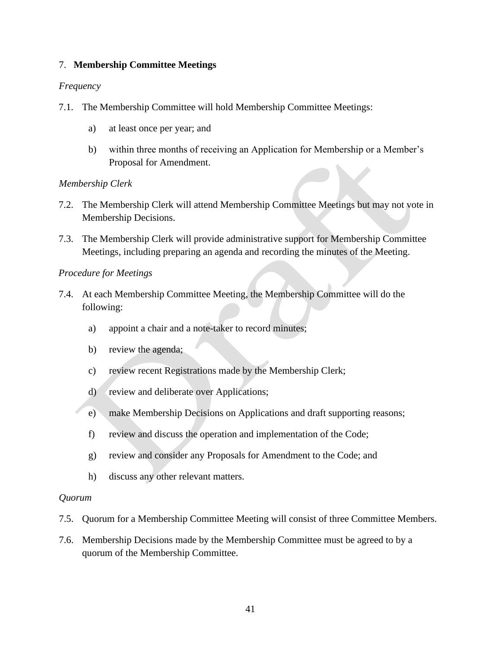### 7. **Membership Committee Meetings**

#### *Frequency*

- 7.1. The Membership Committee will hold Membership Committee Meetings:
	- a) at least once per year; and
	- b) within three months of receiving an Application for Membership or a Member's Proposal for Amendment.

#### *Membership Clerk*

- 7.2. The Membership Clerk will attend Membership Committee Meetings but may not vote in Membership Decisions.
- 7.3. The Membership Clerk will provide administrative support for Membership Committee Meetings, including preparing an agenda and recording the minutes of the Meeting.

#### *Procedure for Meetings*

- 7.4. At each Membership Committee Meeting, the Membership Committee will do the following:
	- a) appoint a chair and a note-taker to record minutes;
	- b) review the agenda;
	- c) review recent Registrations made by the Membership Clerk;
	- d) review and deliberate over Applications;
	- e) make Membership Decisions on Applications and draft supporting reasons;
	- f) review and discuss the operation and implementation of the Code;
	- g) review and consider any Proposals for Amendment to the Code; and
	- h) discuss any other relevant matters.

#### *Quorum*

- 7.5. Quorum for a Membership Committee Meeting will consist of three Committee Members.
- 7.6. Membership Decisions made by the Membership Committee must be agreed to by a quorum of the Membership Committee.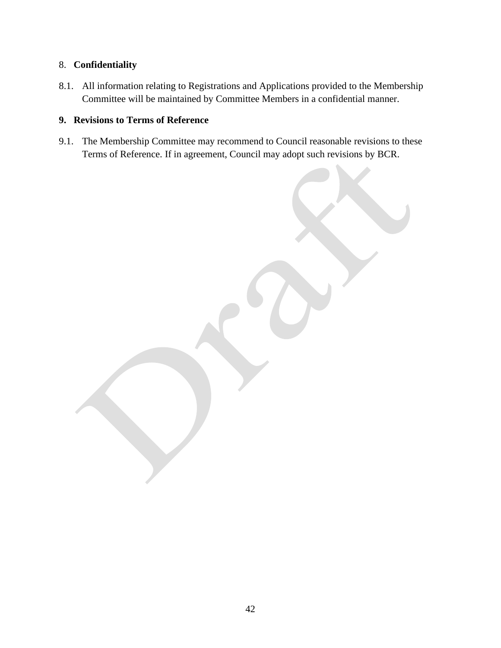# 8. **Confidentiality**

8.1. All information relating to Registrations and Applications provided to the Membership Committee will be maintained by Committee Members in a confidential manner.

# **9. Revisions to Terms of Reference**

9.1. The Membership Committee may recommend to Council reasonable revisions to these Terms of Reference. If in agreement, Council may adopt such revisions by BCR.